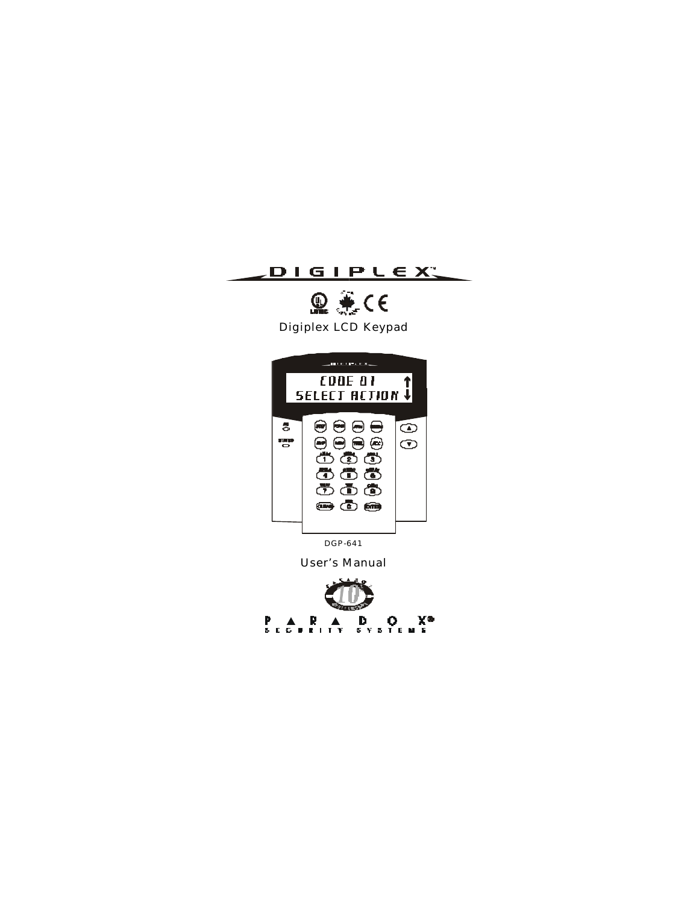



Digiplex LCD Keypad



DGP-641

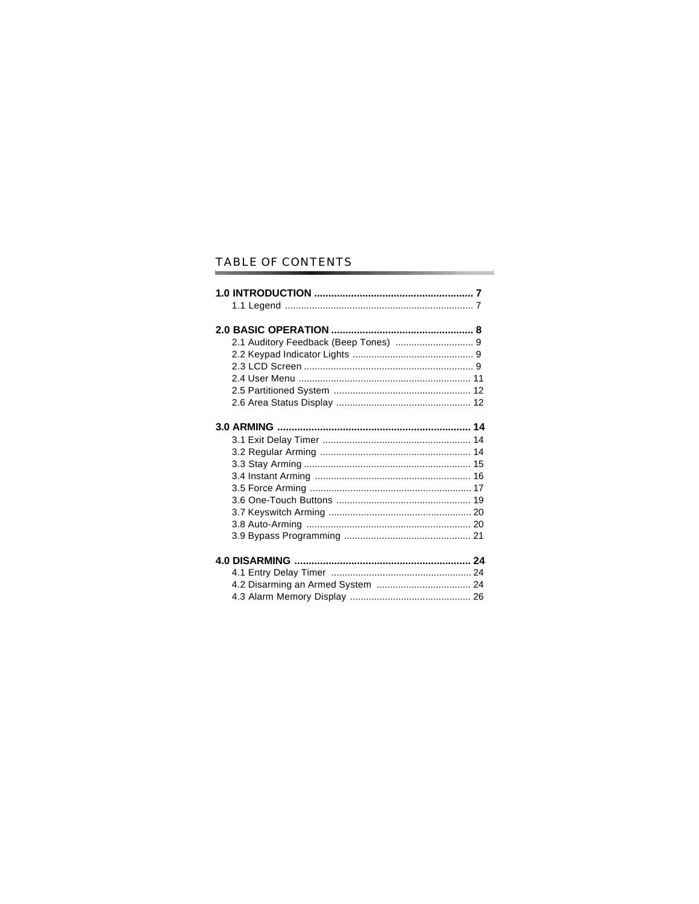# TABLE OF CONTENTS

٠

×.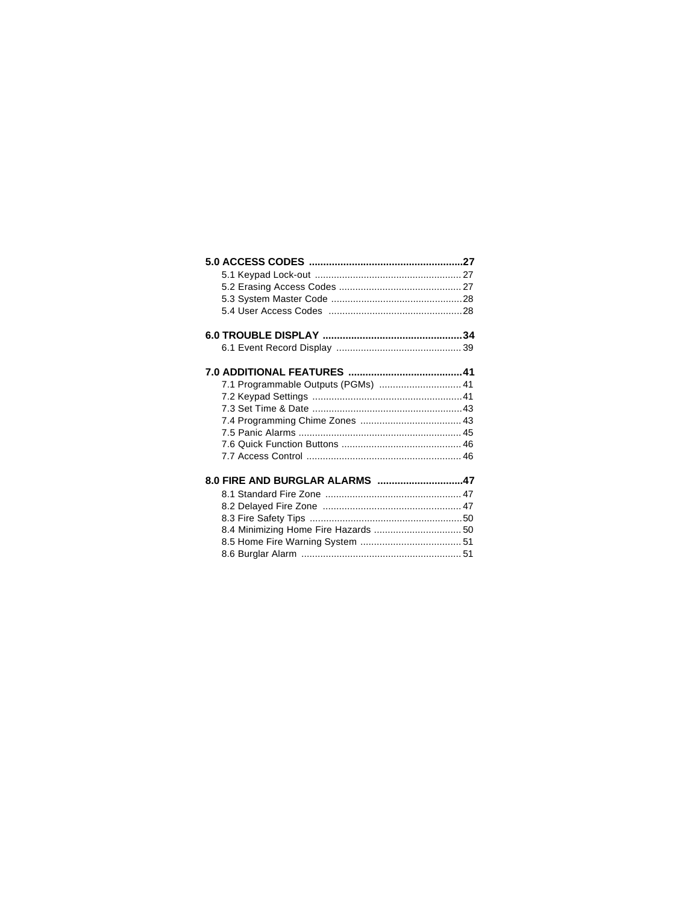| 7.1 Programmable Outputs (PGMs)  41  |  |
|--------------------------------------|--|
|                                      |  |
|                                      |  |
|                                      |  |
|                                      |  |
|                                      |  |
|                                      |  |
| 8.0 FIRE AND BURGLAR ALARMS 47       |  |
|                                      |  |
|                                      |  |
|                                      |  |
| 8.4 Minimizing Home Fire Hazards  50 |  |
|                                      |  |
|                                      |  |
|                                      |  |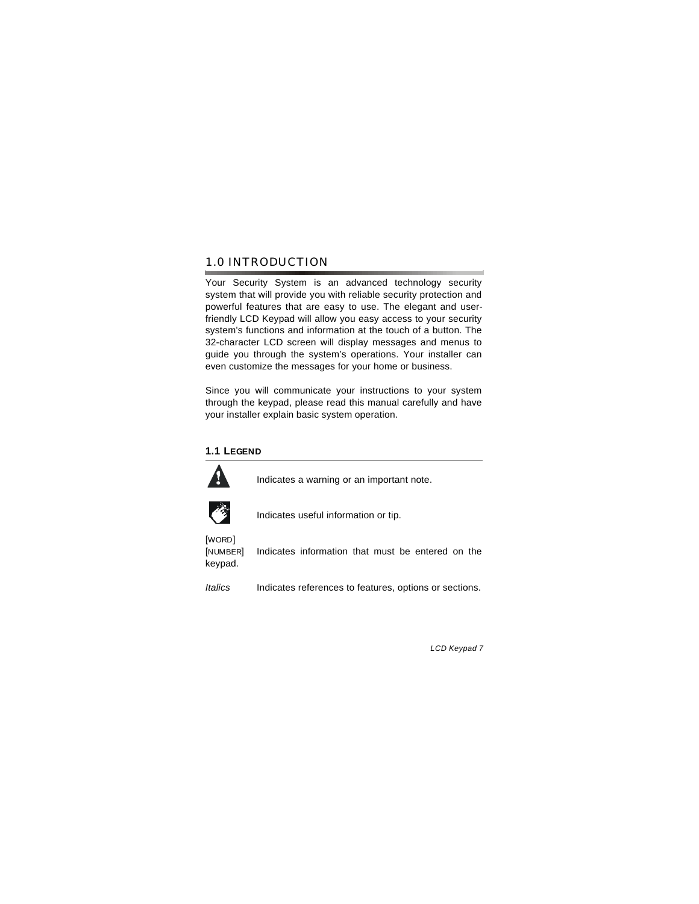### 1.0 INTRODUCTION

Your Security System is an advanced technology security system that will provide you with reliable security protection and powerful features that are easy to use. The elegant and userfriendly LCD Keypad will allow you easy access to your security system's functions and information at the touch of a button. The 32-character LCD screen will display messages and menus to guide you through the system's operations. Your installer can even customize the messages for your home or business.

Since you will communicate your instructions to your system through the keypad, please read this manual carefully and have your installer explain basic system operation.

### **1.1 LEGEND**



Indicates a warning or an important note.



Indicates useful information or tip.

[WORD] keypad.

[NUMBER] Indicates information that must be entered on the

*Italics* Indicates references to features, options or sections.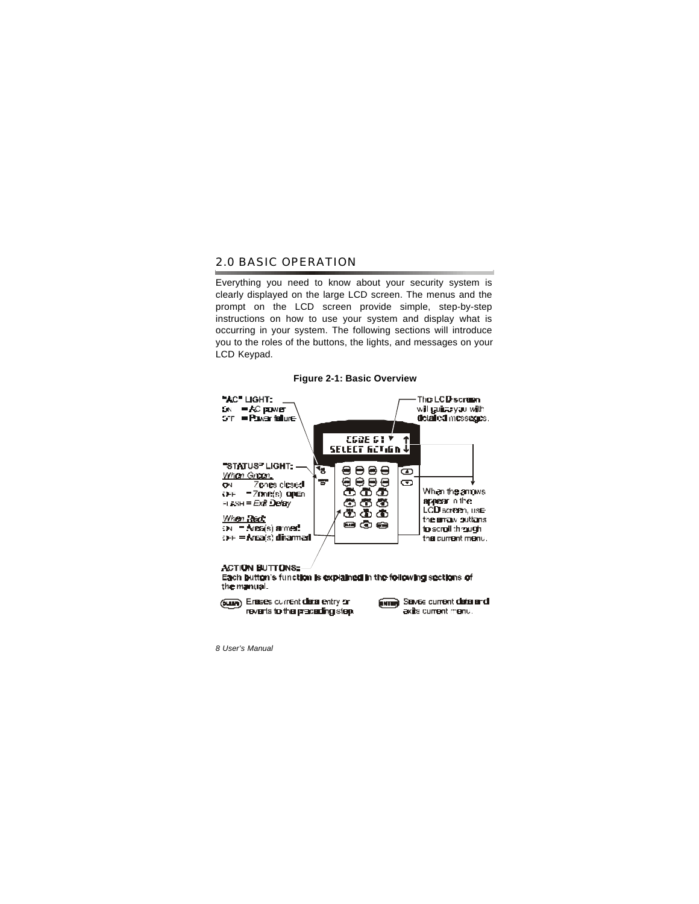### 2.0 BASIC OPERATION

Everything you need to know about your security system is clearly displayed on the large LCD screen. The menus and the prompt on the LCD screen provide simple, step-by-step instructions on how to use your system and display what is occurring in your system. The following sections will introduce you to the roles of the buttons, the lights, and messages on your LCD Keypad.

#### **Figure 2-1: Basic Overview**



#### **ACTION BUTTONS:**

Each button's function is explained in the following sections of the manual.

(Susan) Erases current data entry or reverts to the preceding step. **ENTER** Serves current data and axits current menu.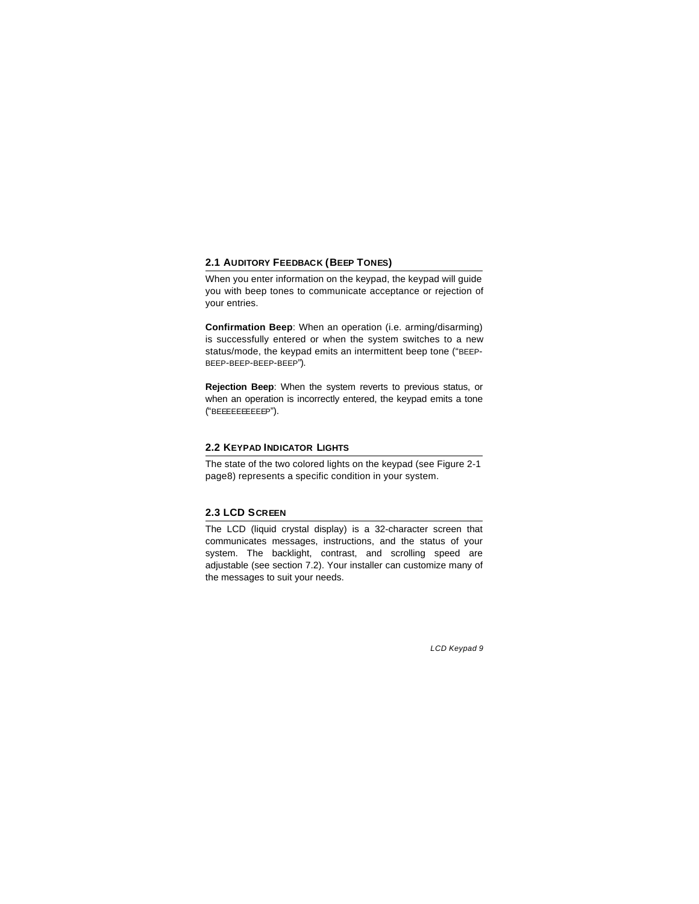### **2.1 AUDITORY FEEDBACK (BEEP TONES)**

When you enter information on the keypad, the keypad will guide you with beep tones to communicate acceptance or rejection of your entries.

**Confirmation Beep**: When an operation (i.e. arming/disarming) is successfully entered or when the system switches to a new status/mode, the keypad emits an intermittent beep tone ("BEEP-BEEP-BEEP-BEEP-BEEP").

**Rejection Beep**: When the system reverts to previous status, or when an operation is incorrectly entered, the keypad emits a tone ("BEEEEEEEEEEP").

### **2.2 KEYPAD INDICATOR LIGHTS**

The state of the two colored lights on the keypad (see Figure 2-1 page8) represents a specific condition in your system.

#### **2.3 LCD SCREEN**

The LCD (liquid crystal display) is a 32-character screen that communicates messages, instructions, and the status of your system. The backlight, contrast, and scrolling speed are adjustable (see section 7.2). Your installer can customize many of the messages to suit your needs.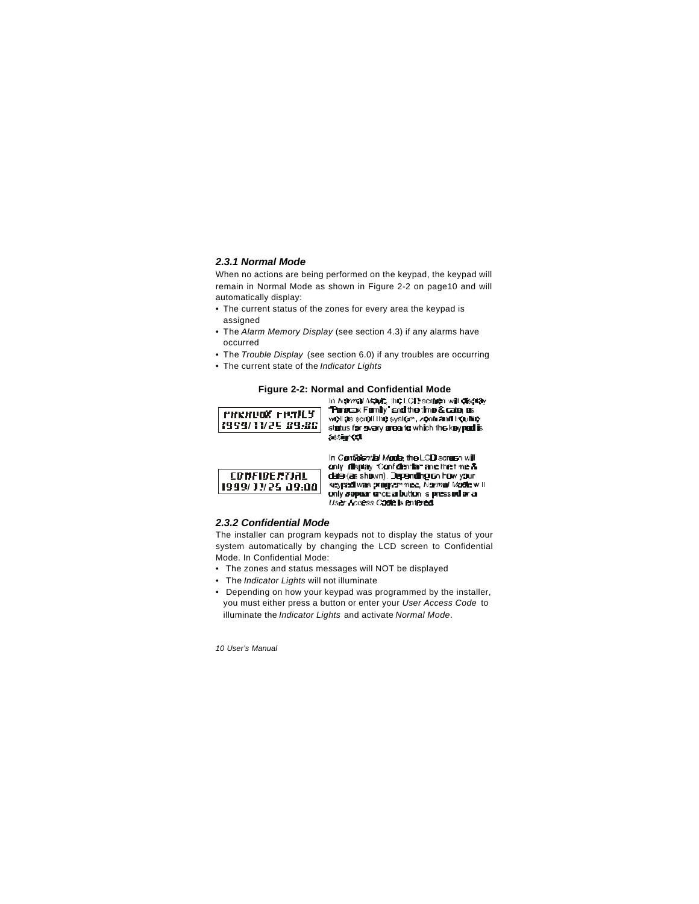#### *2.3.1 Normal Mode*

When no actions are being performed on the keypad, the keypad will remain in Normal Mode as shown in Figure 2-2 on page10 and will automatically display:

- The current status of the zones for every area the keypad is assigned
- The *Alarm Memory Display* (see section 4.3) if any alarms have occurred
- The *Trouble Display* (see section 6.0) if any troubles are occurring
- The current state of the *Indicator Lights*

# **Figure 2-2: Normal and Confidential Mode**

| PHENUOX FRAICS    |
|-------------------|
| 1999/11/25 29.881 |
|                   |

Persoax Femily' and the time & cate, as well as scroll the system, zone and houblestatus for every area to which the keyped is a gred



In Conferntial Mode, the LCD screen will only display Confidential and the time & date (as shown). Depending on how your keypad was programmed, Normal Mode will only sopear cross a button is pressed or a User Acuess Code is entered.

#### *2.3.2 Confidential Mode*

The installer can program keypads not to display the status of your system automatically by changing the LCD screen to Confidential Mode. In Confidential Mode:

- The zones and status messages will NOT be displayed
- The *Indicator Lights* will not illuminate
- Depending on how your keypad was programmed by the installer, you must either press a button or enter your *User Access Code* to illuminate the *Indicator Lights* and activate *Normal Mode*.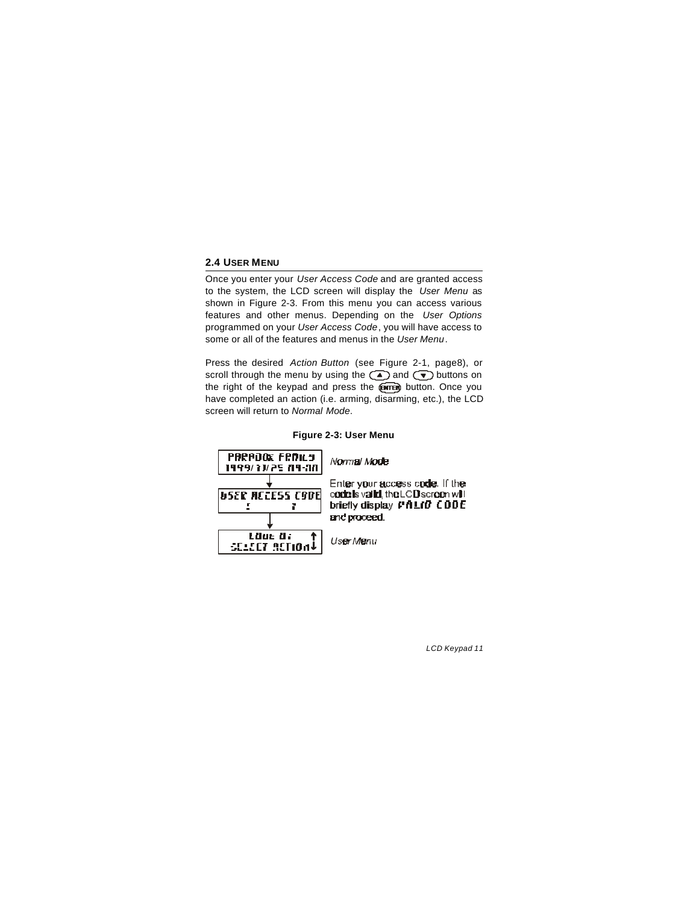### **2.4 USER MENU**

Once you enter your *User Access Code* and are granted access to the system, the LCD screen will display the *User Menu* as shown in Figure 2-3. From this menu you can access various features and other menus. Depending on the *User Options* programmed on your *User Access Code*, you will have access to some or all of the features and menus in the *User Menu*.

Press the desired *Action Button* (see Figure 2-1, page8), or scroll through the menu by using the  $\textcircled{\texttt{A}}$  and  $\textcircled{\texttt{F}}$  buttons on the right of the keypad and press the **@map** button. Once you have completed an action (i.e. arming, disarming, etc.), the LCD screen will return to *Normal Mode*.

#### **Figure 2-3: User Menu**



Enter your access code. If the code is valid, the LCD screen will briefly display *PhLID* CDDE

User Menu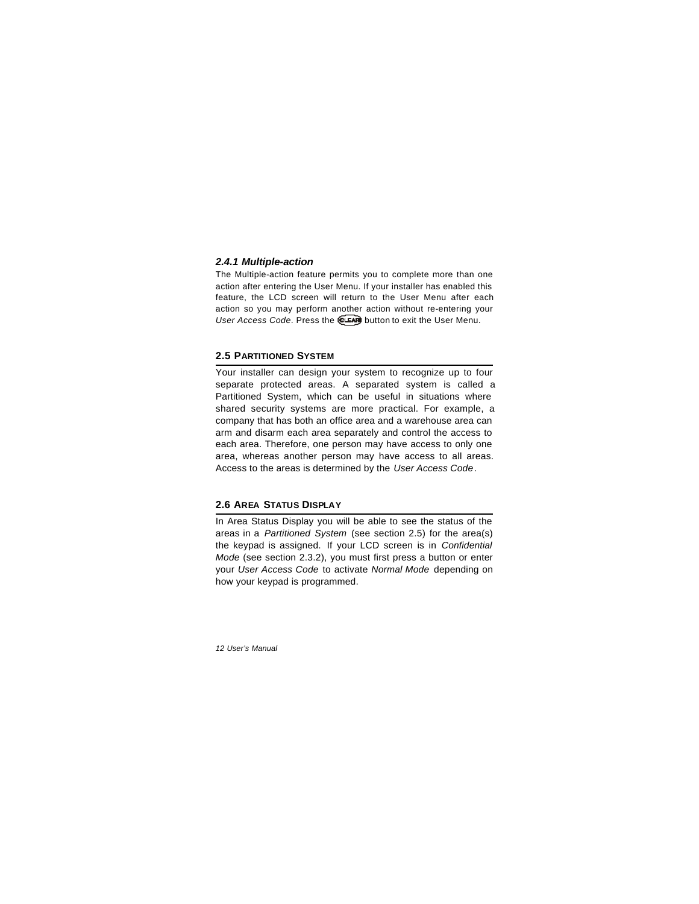#### *2.4.1 Multiple-action*

The Multiple-action feature permits you to complete more than one action after entering the User Menu. If your installer has enabled this feature, the LCD screen will return to the User Menu after each action so you may perform another action without re-entering your *User Access Code.* Press the **CLEAN** button to exit the User Menu.

#### **2.5 PARTITIONED SYSTEM**

Your installer can design your system to recognize up to four separate protected areas. A separated system is called a Partitioned System, which can be useful in situations where shared security systems are more practical. For example, a company that has both an office area and a warehouse area can arm and disarm each area separately and control the access to each area. Therefore, one person may have access to only one area, whereas another person may have access to all areas. Access to the areas is determined by the *User Access Code*.

#### **2.6 AREA STATUS DISPLAY**

In Area Status Display you will be able to see the status of the areas in a *Partitioned System* (see section 2.5) for the area(s) the keypad is assigned. If your LCD screen is in *Confidential Mode* (see section 2.3.2), you must first press a button or enter your *User Access Code* to activate *Normal Mode* depending on how your keypad is programmed.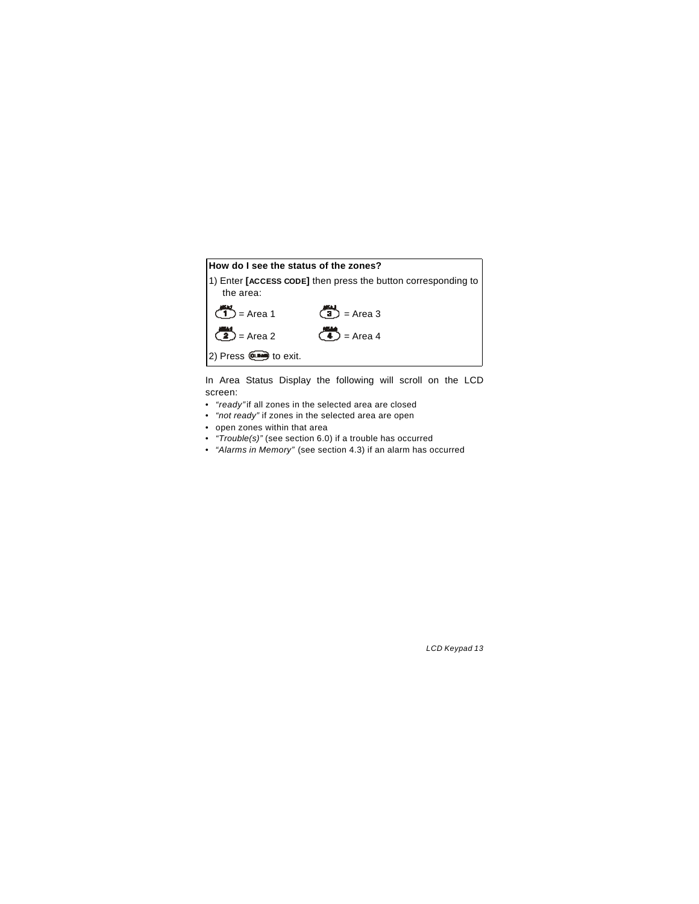

In Area Status Display the following will scroll on the LCD screen:

- • *"ready"* if all zones in the selected area are closed
- • *"not ready"* if zones in the selected area are open
- open zones within that area
- • *"Trouble(s)"* (see section 6.0) if a trouble has occurred
- • *"Alarms in Memory"* (see section 4.3) if an alarm has occurred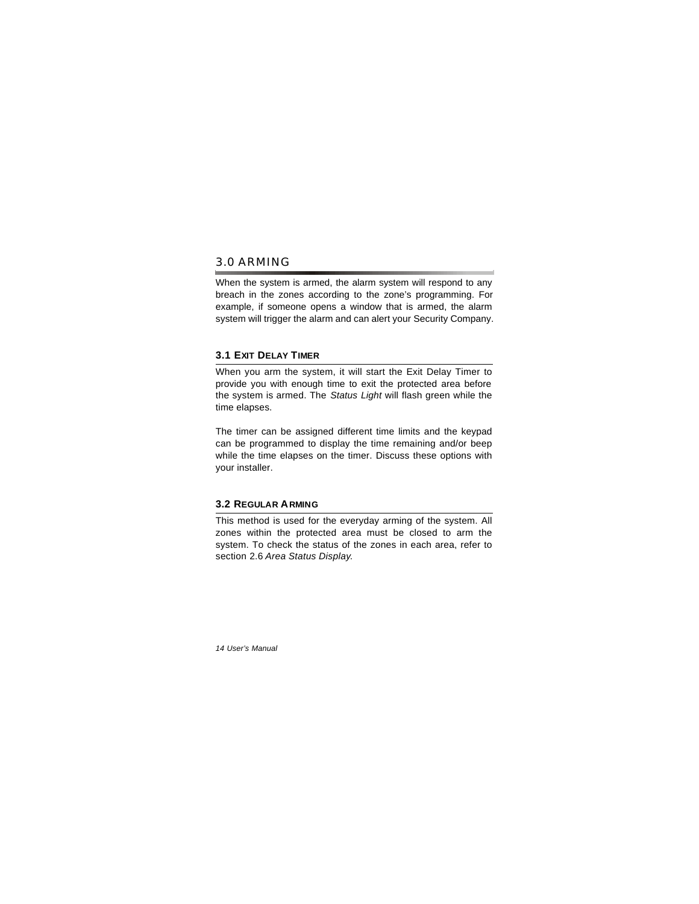### 3.0 ARMING

When the system is armed, the alarm system will respond to any breach in the zones according to the zone's programming. For example, if someone opens a window that is armed, the alarm system will trigger the alarm and can alert your Security Company.

### **3.1 EXIT DELAY TIMER**

When you arm the system, it will start the Exit Delay Timer to provide you with enough time to exit the protected area before the system is armed. The *Status Light* will flash green while the time elapses.

The timer can be assigned different time limits and the keypad can be programmed to display the time remaining and/or beep while the time elapses on the timer. Discuss these options with your installer.

### **3.2 REGULAR ARMING**

This method is used for the everyday arming of the system. All zones within the protected area must be closed to arm the system. To check the status of the zones in each area, refer to section 2.6 *Area Status Display*.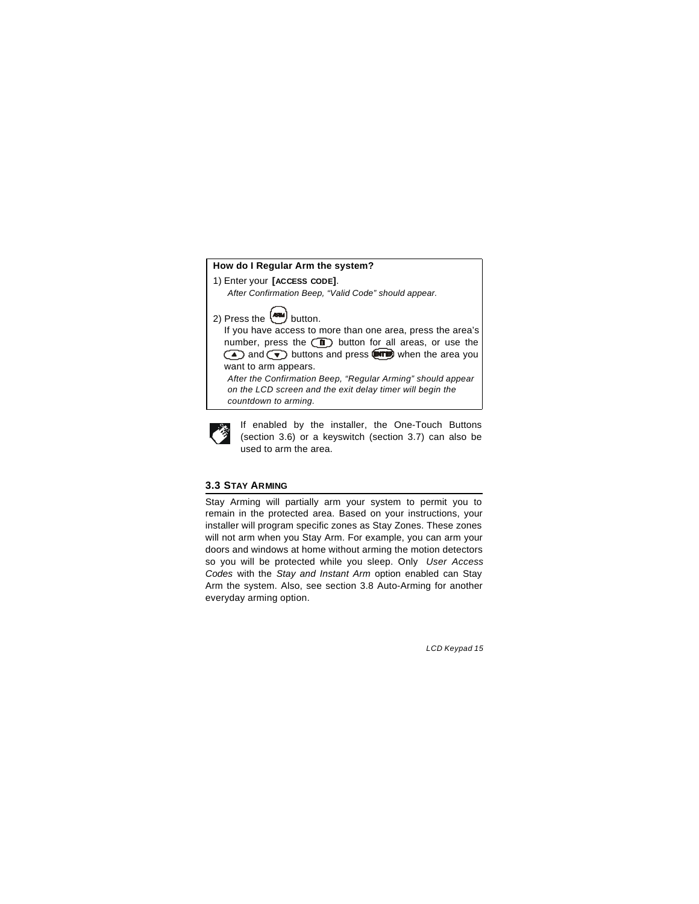### **How do I Regular Arm the system?**

1) Enter your **[ACCESS CODE]**.

- *After Confirmation Beep, "Valid Code" should appear.*
- 2) Press the  $\boxed{\phantom{a}\phantom{\,}\bullet\phantom{\,}\bullet\phantom{\,}\bullet\phantom{\,}\bullet\phantom{\,}\bullet\phantom{\,}\bullet\phantom{\,}\bullet\phantom{\,}\bullet\phantom{\,}\bullet\phantom{\,}\bullet\phantom{\,}\bullet\phantom{\,}\bullet\phantom{\,}\bullet\phantom{\,}\bullet\phantom{\,}\bullet\phantom{\,}\bullet\phantom{\,}\bullet\phantom{\,}\bullet\phantom{\,}\bullet\phantom{\,}\bullet\phantom{\,}\bullet\phantom{\,}\bullet\phantom{\,}\bullet\phantom{\,}\bullet\phantom{\,}\bullet\phantom{\,}\bullet\phantom{\,}\bullet\phantom{\,}\bullet\phantom{\,$

If you have access to more than one area, press the area's number, press the  $\circled{1}$  button for all areas, or use the  $\textcircled{\textsf{A}}$  and  $\textcircled{\textsf{F}}$  buttons and press  $\textcircled{\textsf{H}}$  when the area you want to arm appears.

*After the Confirmation Beep, "Regular Arming" should appear on the LCD screen and the exit delay timer will begin the countdown to arming.*



If enabled by the installer, the One-Touch Buttons (section 3.6) or a keyswitch (section 3.7) can also be used to arm the area.

### **3.3 STAY ARMING**

Stay Arming will partially arm your system to permit you to remain in the protected area. Based on your instructions, your installer will program specific zones as Stay Zones. These zones will not arm when you Stay Arm. For example, you can arm your doors and windows at home without arming the motion detectors so you will be protected while you sleep. Only *User Access Codes* with the *Stay and Instant Arm* option enabled can Stay Arm the system. Also, see section 3.8 Auto-Arming for another everyday arming option.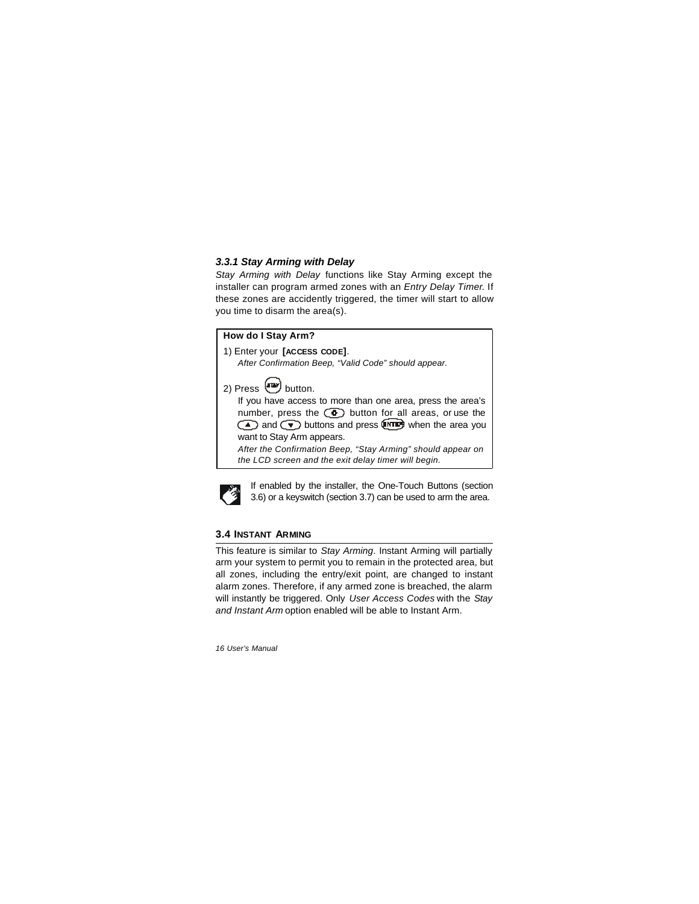### *3.3.1 Stay Arming with Delay*

*Stay Arming with Delay* functions like Stay Arming except the installer can program armed zones with an *Entry Delay Timer*. If these zones are accidently triggered, the timer will start to allow you time to disarm the area(s).

#### **How do I Stay Arm?**

1) Enter your **[ACCESS CODE]**. *After Confirmation Beep, "Valid Code" should appear.*

2) Press  $\Box$  button. If you have access to more than one area, press the area's number, press the  $\circled{c}$  button for all areas, or use the  $\circled{A}$  and  $\circled{v}$  buttons and press  $\circled{m}$  when the area you want to Stay Arm appears. *After the Confirmation Beep, "Stay Arming" should appear on* 

*the LCD screen and the exit delay timer will begin.* 



If enabled by the installer, the One-Touch Buttons (section 3.6) or a keyswitch (section 3.7) can be used to arm the area.

### **3.4 INSTANT ARMING**

This feature is similar to *Stay Arming*. Instant Arming will partially arm your system to permit you to remain in the protected area, but all zones, including the entry/exit point, are changed to instant alarm zones. Therefore, if any armed zone is breached, the alarm will instantly be triggered. Only *User Access Codes* with the *Stay and Instant Arm* option enabled will be able to Instant Arm.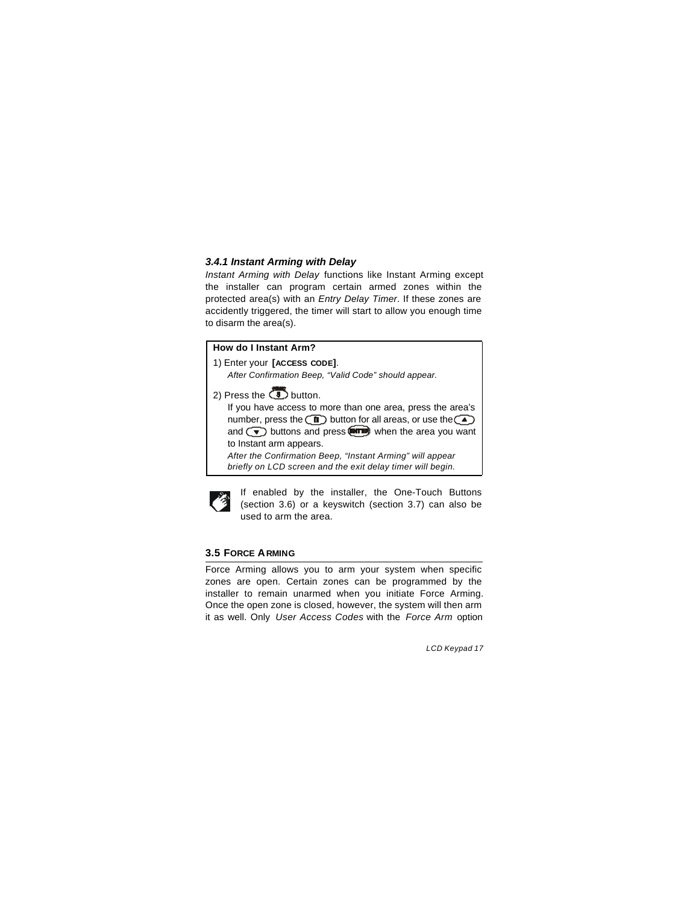#### *3.4.1 Instant Arming with Delay*

*Instant Arming with Delay* functions like Instant Arming except the installer can program certain armed zones within the protected area(s) with an *Entry Delay Timer*. If these zones are accidently triggered, the timer will start to allow you enough time to disarm the area(s).

### **How do I Instant Arm?**

- 1) Enter your **[ACCESS CODE]**.
	- *After Confirmation Beep, "Valid Code" should appear.*
- 2) Press the  $\overline{3}$  button.

If you have access to more than one area, press the area's number, press the  $\textcircled{\tiny{1}}$  button for all areas, or use the  $\textcircled{\tiny{2}}$ and  $\left(\overline{\bullet}\right)$  buttons and press  $\overline{\bullet\bullet\bullet}$  when the area you want to Instant arm appears.

*After the Confirmation Beep, "Instant Arming" will appear briefly on LCD screen and the exit delay timer will begin.* 



If enabled by the installer, the One-Touch Buttons (section 3.6) or a keyswitch (section 3.7) can also be used to arm the area.

### **3.5 FORCE ARMING**

Force Arming allows you to arm your system when specific zones are open. Certain zones can be programmed by the installer to remain unarmed when you initiate Force Arming. Once the open zone is closed, however, the system will then arm it as well. Only *User Access Codes* with the *Force Arm* option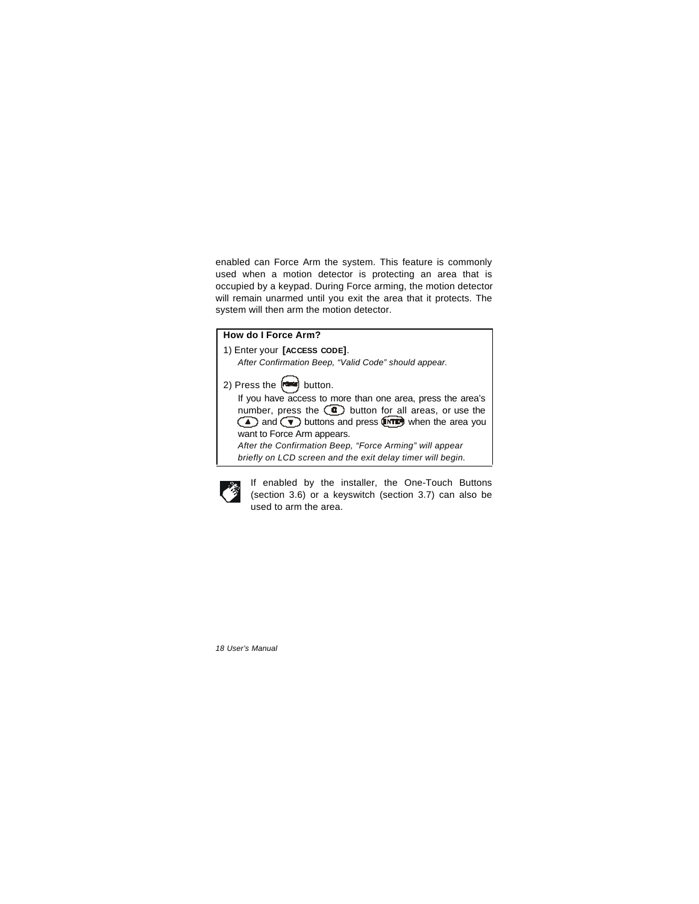enabled can Force Arm the system. This feature is commonly used when a motion detector is protecting an area that is occupied by a keypad. During Force arming, the motion detector will remain unarmed until you exit the area that it protects. The system will then arm the motion detector.

| How do I Force Arm?                                                                                                                                                                                                                                                                                                                                                                                                                                    |
|--------------------------------------------------------------------------------------------------------------------------------------------------------------------------------------------------------------------------------------------------------------------------------------------------------------------------------------------------------------------------------------------------------------------------------------------------------|
| 1) Enter your [ACCESS CODE].                                                                                                                                                                                                                                                                                                                                                                                                                           |
| After Confirmation Beep, "Valid Code" should appear.                                                                                                                                                                                                                                                                                                                                                                                                   |
| 2) Press the $\left[\frac{1}{2}, \frac{1}{2}\right]$ button.<br>If you have access to more than one area, press the area's<br>number, press the $\circled{e}$ button for all areas, or use the<br>and $\textcircled{\textsf{r}}$ buttons and press $\textcircled{\textsf{r}}$ when the area you<br>want to Force Arm appears.<br>After the Confirmation Beep, "Force Arming" will appear<br>briefly on LCD screen and the exit delay timer will begin. |



If enabled by the installer, the One-Touch Buttons (section 3.6) or a keyswitch (section 3.7) can also be used to arm the area.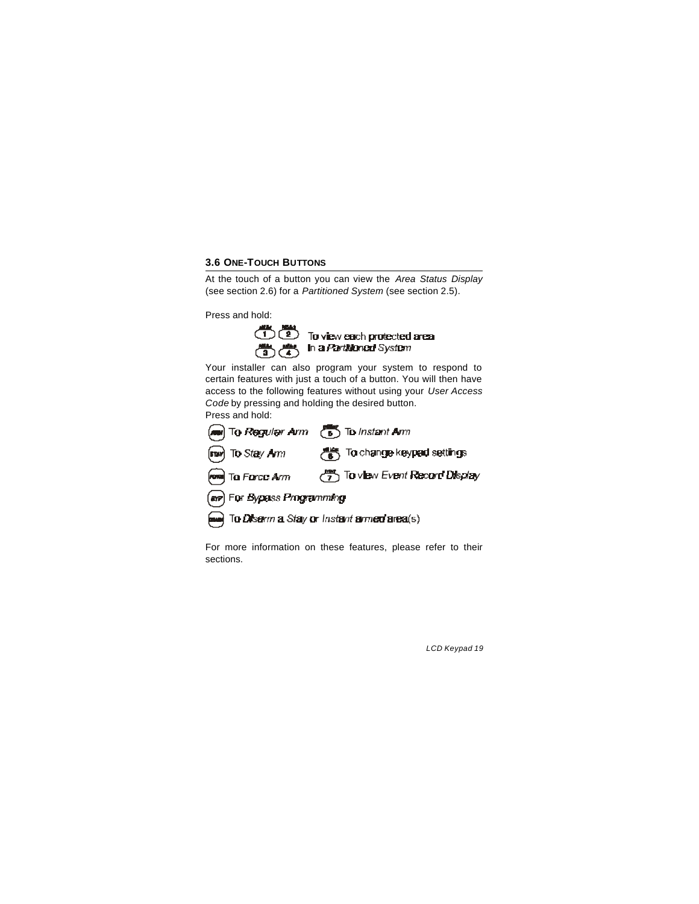### **3.6 ONE-TOUCH BUTTONS**

At the touch of a button you can view the *Area Status Display* (see section 2.6) for a *Partitioned System* (see section 2.5).

Press and hold:



 $(1)$   $(2)$  To view each protected area<br> $(2)$   $(3)$   $(4)$  in a *Partitioned* System

Your installer can also program your system to respond to certain features with just a touch of a button. You will then have access to the following features without using your *User Access Code* by pressing and holding the desired button.



For more information on these features, please refer to their sections.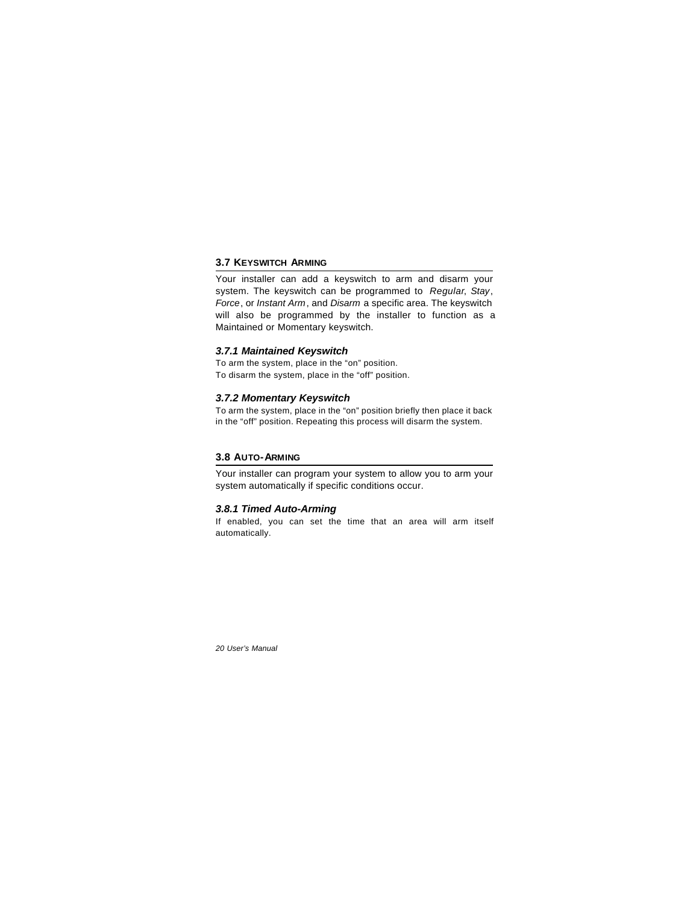### **3.7 KEYSWITCH ARMING**

Your installer can add a keyswitch to arm and disarm your system. The keyswitch can be programmed to *Regular*, *Stay*, *Force*, or *Instant Arm*, and *Disarm* a specific area. The keyswitch will also be programmed by the installer to function as a Maintained or Momentary keyswitch.

### *3.7.1 Maintained Keyswitch*

To arm the system, place in the "on" position. To disarm the system, place in the "off" position.

#### *3.7.2 Momentary Keyswitch*

To arm the system, place in the "on" position briefly then place it back in the "off" position. Repeating this process will disarm the system.

#### **3.8 AUTO-ARMING**

Your installer can program your system to allow you to arm your system automatically if specific conditions occur.

#### *3.8.1 Timed Auto-Arming*

If enabled, you can set the time that an area will arm itself automatically.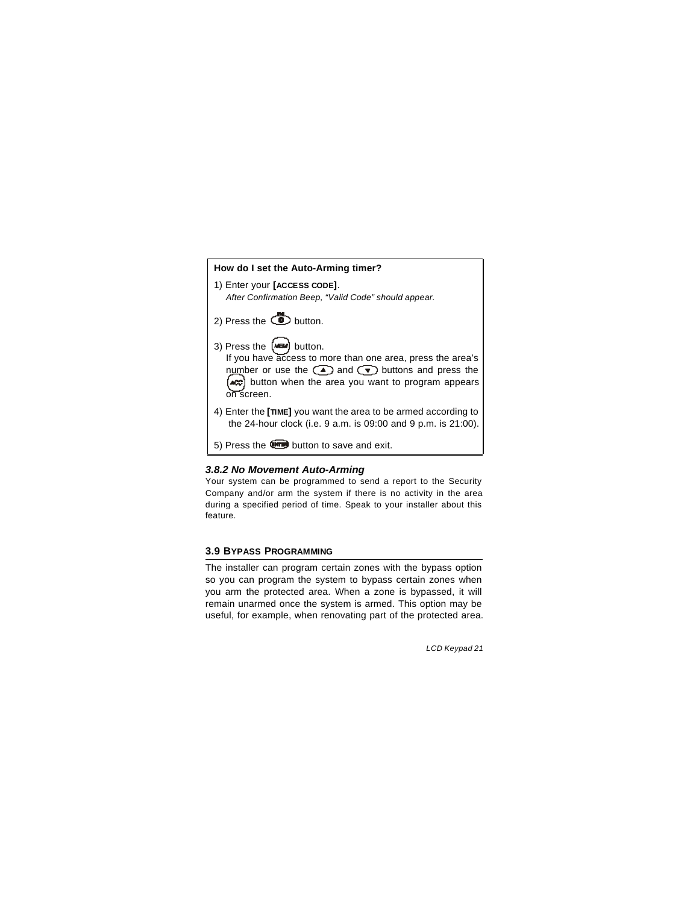# **How do I set the Auto-Arming timer?** 1) Enter your **[ACCESS CODE]**. *After Confirmation Beep, "Valid Code" should appear.*  2) Press the  $\ddot{\bullet}$  button. 3) Press the  $(m)$  button. If you have access to more than one area, press the area's number or use the  $\textcircled{\texttt{A}}$  and  $\textcircled{\texttt{v}}$  buttons and press the button when the area you want to program appears on screen. 4) Enter the **[TIME]** you want the area to be armed according to the 24-hour clock (i.e. 9 a.m. is 09:00 and 9 p.m. is 21:00). 5) Press the **com** button to save and exit.

### *3.8.2 No Movement Auto-Arming*

Your system can be programmed to send a report to the Security Company and/or arm the system if there is no activity in the area during a specified period of time. Speak to your installer about this feature.

#### **3.9 BYPASS PROGRAMMING**

The installer can program certain zones with the bypass option so you can program the system to bypass certain zones when you arm the protected area. When a zone is bypassed, it will remain unarmed once the system is armed. This option may be useful, for example, when renovating part of the protected area.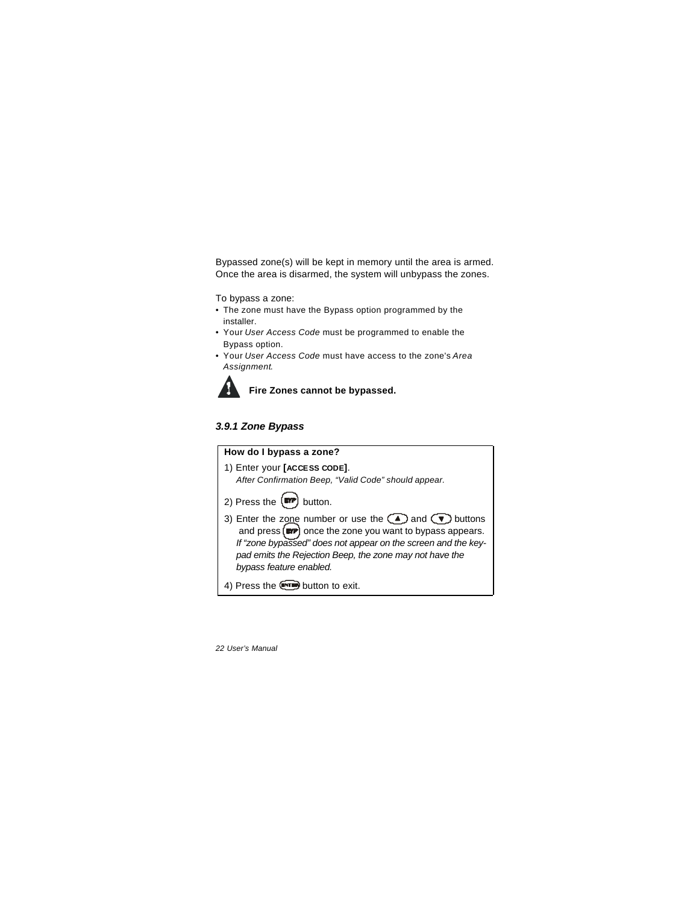Bypassed zone(s) will be kept in memory until the area is armed. Once the area is disarmed, the system will unbypass the zones.

To bypass a zone:

- The zone must have the Bypass option programmed by the installer.
- Your *User Access Code* must be programmed to enable the Bypass option.
- Your *User Access Code* must have access to the zone's *Area Assignment*.



**Fire Zones cannot be bypassed.**

### *3.9.1 Zone Bypass*

## **How do I bypass a zone?** 1) Enter your **[ACCESS CODE]**. *After Confirmation Beep, "Valid Code" should appear.* 2) Press the  $\binom{m}{r}$  button. 3) Enter the zone number or use the  $($ **A**) and  $(\nabla)$  buttons and press (**IFFE**) once the zone you want to bypass appears. *If "zone bypassed" does not appear on the screen and the keypad emits the Rejection Beep, the zone may not have the bypass feature enabled.* 4) Press the **com** button to exit.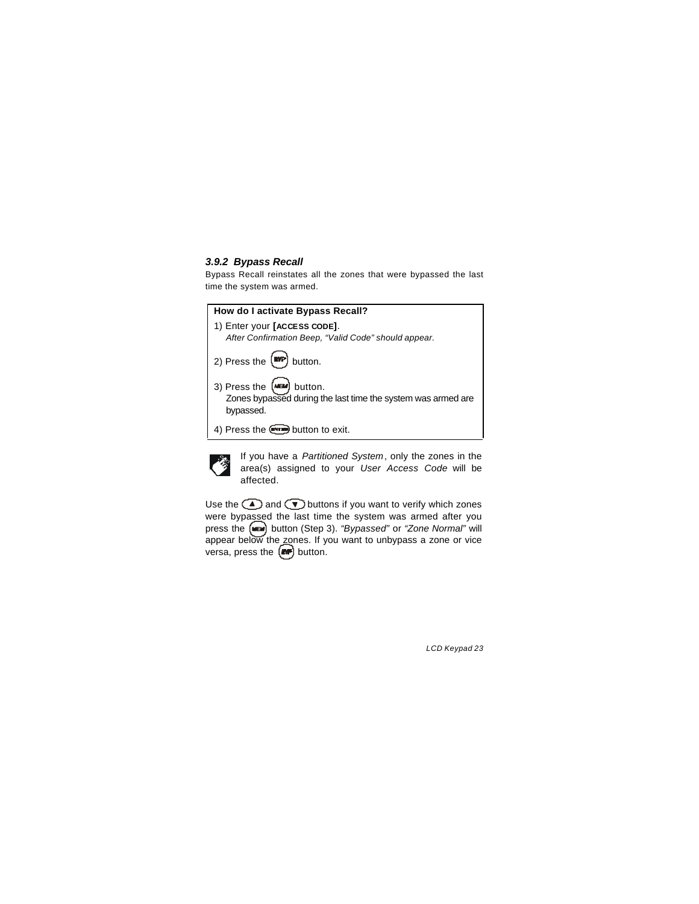#### *3.9.2 Bypass Recall*

Bypass Recall reinstates all the zones that were bypassed the last time the system was armed.

| How do I activate Bypass Recall?                                                                        |
|---------------------------------------------------------------------------------------------------------|
| 1) Enter your [ACCESS CODE].<br>After Confirmation Beep, "Valid Code" should appear.                    |
| 2) Press the $[MP]$ button.                                                                             |
| 3) Press the (MBM) button.<br>Zones bypassed during the last time the system was armed are<br>bypassed. |
| 4) Press the <b>Comed</b> button to exit.                                                               |



If you have a *Partitioned System*, only the zones in the area(s) assigned to your *User Access Code* will be affected.

Use the  $\textcircled{\textsf{T}}$  and  $\textcircled{\textsf{T}}$  buttons if you want to verify which zones were bypassed the last time the system was armed after you press the button (Step 3). *"Bypassed"* or *"Zone Normal"* will appear below the zones. If you want to unbypass a zone or vice versa, press the  $[$ **ne**) button.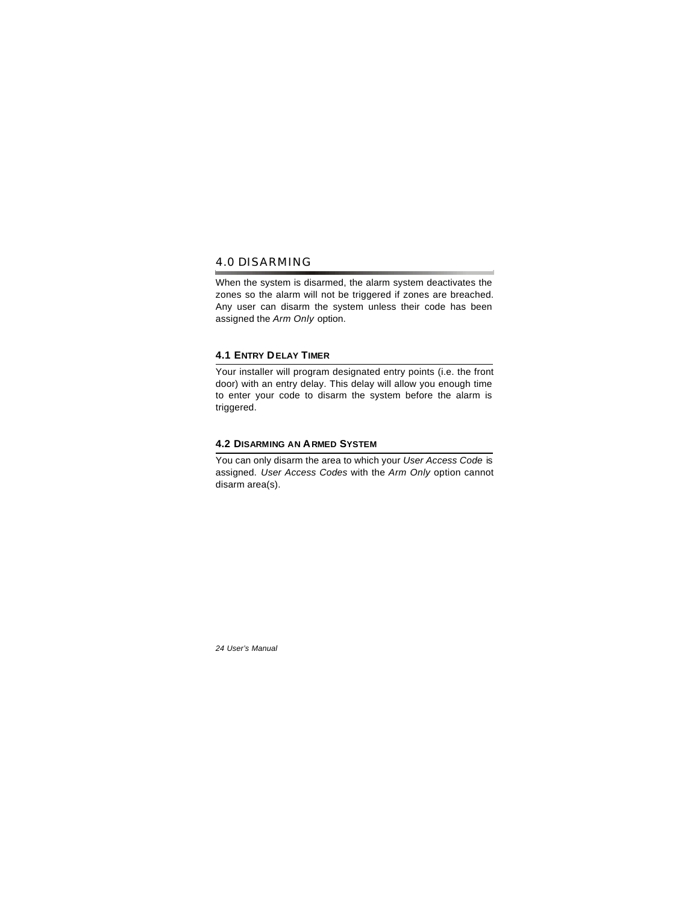### 4.0 DISARMING

When the system is disarmed, the alarm system deactivates the zones so the alarm will not be triggered if zones are breached. Any user can disarm the system unless their code has been assigned the *Arm Only* option.

### **4.1 ENTRY DELAY TIMER**

Your installer will program designated entry points (i.e. the front door) with an entry delay. This delay will allow you enough time to enter your code to disarm the system before the alarm is triggered.

### **4.2 DISARMING AN ARMED SYSTEM**

You can only disarm the area to which your *User Access Code* is assigned. *User Access Codes* with the *Arm Only* option cannot disarm area(s).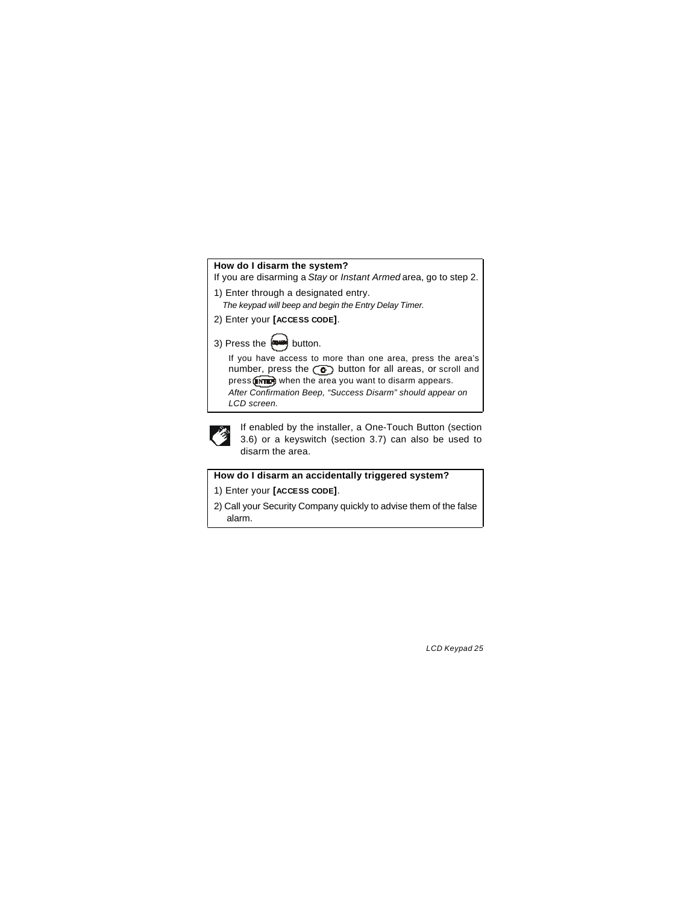### **How do I disarm the system?**

If you are disarming a *Stay* or *Instant Armed* area, go to step 2.

- 1) Enter through a designated entry.
	- *The keypad will beep and begin the Entry Delay Timer.*
- 2) Enter your **[ACCESS CODE]**.

### 3) Press the  $\leftarrow$  button.

If you have access to more than one area, press the area's number, press the  $\circledcirc$  button for all areas, or scroll and press **when the area you want to disarm appears.** *After Confirmation Beep, "Success Disarm" should appear on LCD screen.*



If enabled by the installer, a One-Touch Button (section 3.6) or a keyswitch (section 3.7) can also be used to disarm the area.

### **How do I disarm an accidentally triggered system?**

1) Enter your **[ACCESS CODE]**.

2) Call your Security Company quickly to advise them of the false alarm.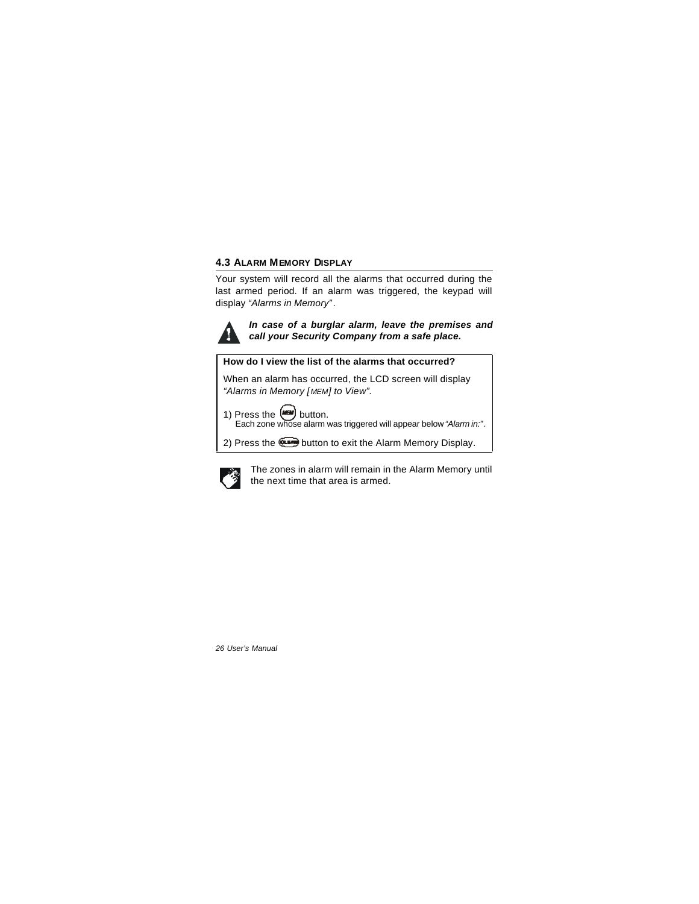### **4.3 ALARM MEMORY DISPLAY**

Your system will record all the alarms that occurred during the last armed period. If an alarm was triggered, the keypad will display *"Alarms in Memory"*.



*In case of a burglar alarm, leave the premises and call your Security Company from a safe place.*

### **How do I view the list of the alarms that occurred?**

When an alarm has occurred, the LCD screen will display *"Alarms in Memory [MEM] to View".*



Each zone whose alarm was triggered will appear below *"Alarm in:"*.

2) Press the **com** button to exit the Alarm Memory Display.



The zones in alarm will remain in the Alarm Memory until the next time that area is armed.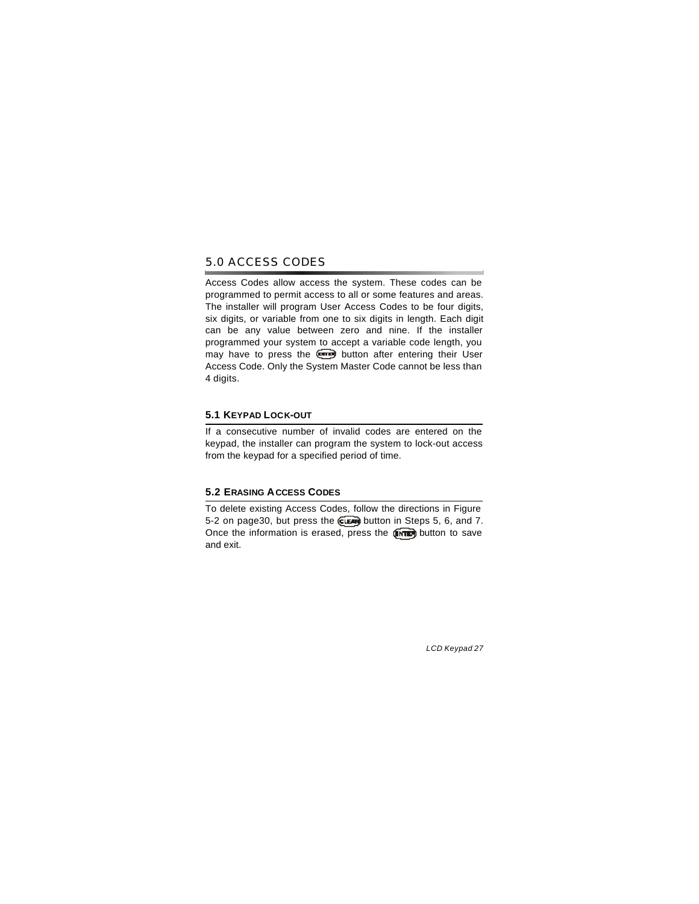### 5.0 ACCESS CODES

Access Codes allow access the system. These codes can be programmed to permit access to all or some features and areas. The installer will program User Access Codes to be four digits, six digits, or variable from one to six digits in length. Each digit can be any value between zero and nine. If the installer programmed your system to accept a variable code length, you may have to press the **em** button after entering their User Access Code. Only the System Master Code cannot be less than 4 digits.

### **5.1 KEYPAD LOCK-OUT**

If a consecutive number of invalid codes are entered on the keypad, the installer can program the system to lock-out access from the keypad for a specified period of time.

### **5.2 ERASING ACCESS CODES**

To delete existing Access Codes, follow the directions in Figure 5-2 on page30, but press the **ELLE** button in Steps 5, 6, and 7. Once the information is erased, press the  $\left(\sqrt{\frac{1}{n}}\right)$  button to save and exit.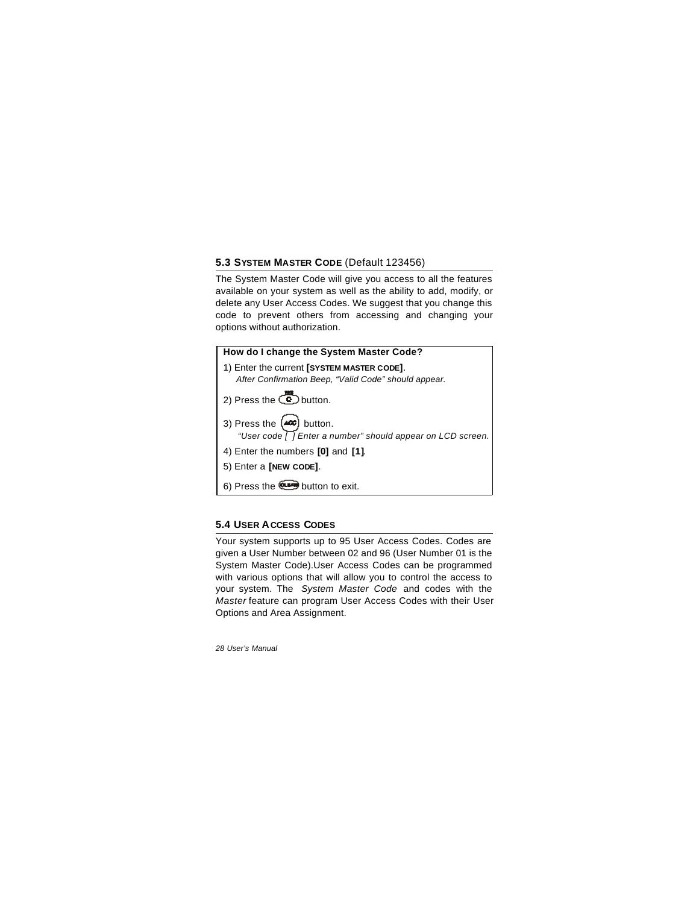### **5.3 SYSTEM MASTER CODE** (Default 123456)

The System Master Code will give you access to all the features available on your system as well as the ability to add, modify, or delete any User Access Codes. We suggest that you change this code to prevent others from accessing and changing your options without authorization.

| How do I change the System Master Code?                                                            |
|----------------------------------------------------------------------------------------------------|
| 1) Enter the current [SYSTEM MASTER CODE].<br>After Confirmation Beep, "Valid Code" should appear. |
|                                                                                                    |
| 2) Press the $\circled{c}$ button.                                                                 |
| 3) Press the $(400)$ button.<br>"User code [] Enter a number" should appear on LCD screen.         |
| 4) Enter the numbers [0] and [1].                                                                  |
| 5) Enter a [NEW CODE].                                                                             |
| 6) Press the <b>Computer</b> button to exit.                                                       |

### **5.4 USER ACCESS CODES**

Your system supports up to 95 User Access Codes. Codes are given a User Number between 02 and 96 (User Number 01 is the System Master Code).User Access Codes can be programmed with various options that will allow you to control the access to your system. The *System Master Code* and codes with the *Master* feature can program User Access Codes with their User Options and Area Assignment.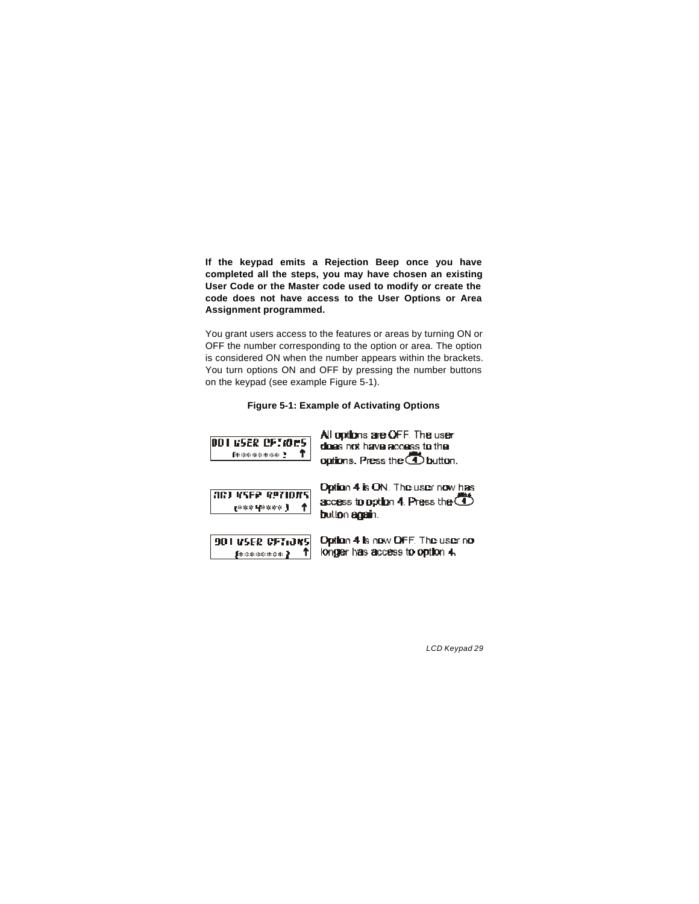**If the keypad emits a Rejection Beep once you have completed all the steps, you may have chosen an existing User Code or the Master code used to modify or create the code does not have access to the User Options or Area Assignment programmed.** 

You grant users access to the features or areas by turning ON or OFF the number corresponding to the option or area. The option is considered ON when the number appears within the brackets. You turn options ON and OFF by pressing the number buttons on the keypad (see example Figure 5-1).

#### **Figure 5-1: Example of Activating Options**

**00105ER OFT005 Independent 1** 

All options are OFF. The user does not have access to the options. Press the 4 button.



Option 4 is ON. The user now has access to option 4. Press the  $\bigoplus$ button again.



Option 4 is now OFF. The user no longer has access to option 4.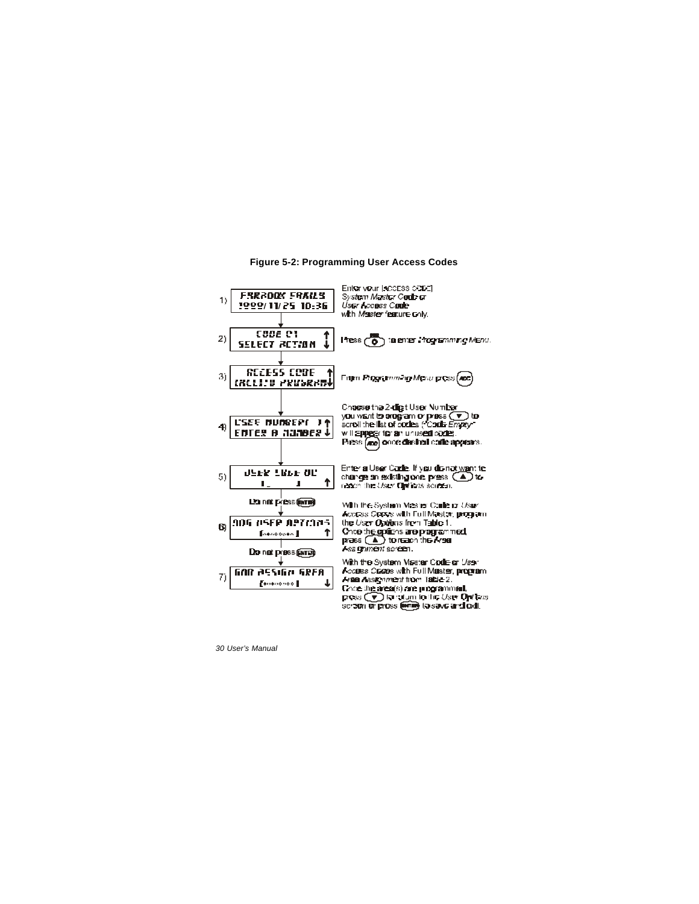

#### **Figure 5-2: Programming User Access Codes**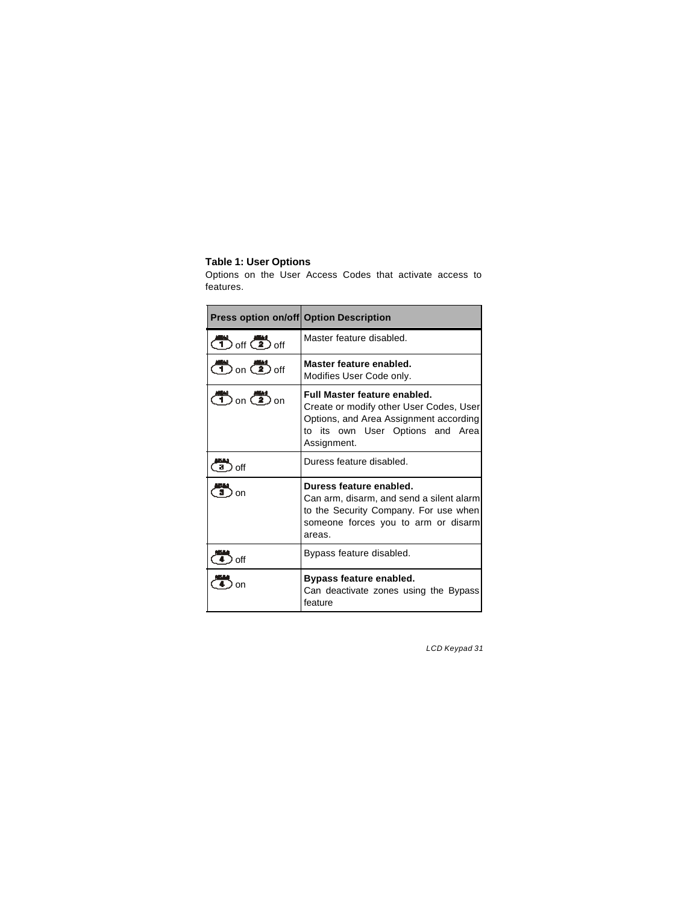### **Table 1: User Options**

Options on the User Access Codes that activate access to features.

| <b>Press option on/off Option Description</b> |                                                                                                                                                                      |
|-----------------------------------------------|----------------------------------------------------------------------------------------------------------------------------------------------------------------------|
| $\binom{m}{1}$ off $\binom{m}{2}$ off         | Master feature disabled.                                                                                                                                             |
| $\binom{m}{1}$ on $\binom{m}{2}$ off          | Master feature enabled.<br>Modifies User Code only.                                                                                                                  |
| $\binom{m}{1}$ on $\binom{m}{2}$ on           | Full Master feature enabled.<br>Create or modify other User Codes, User<br>Options, and Area Assignment according<br>to its own User Options and Area<br>Assignment. |
| ∩ff                                           | Duress feature disabled.                                                                                                                                             |
| nn                                            | Duress feature enabled.<br>Can arm, disarm, and send a silent alarm<br>to the Security Company. For use when<br>someone forces you to arm or disarm<br>areas.        |
| off                                           | Bypass feature disabled.                                                                                                                                             |
| on                                            | Bypass feature enabled.<br>Can deactivate zones using the Bypass<br>feature                                                                                          |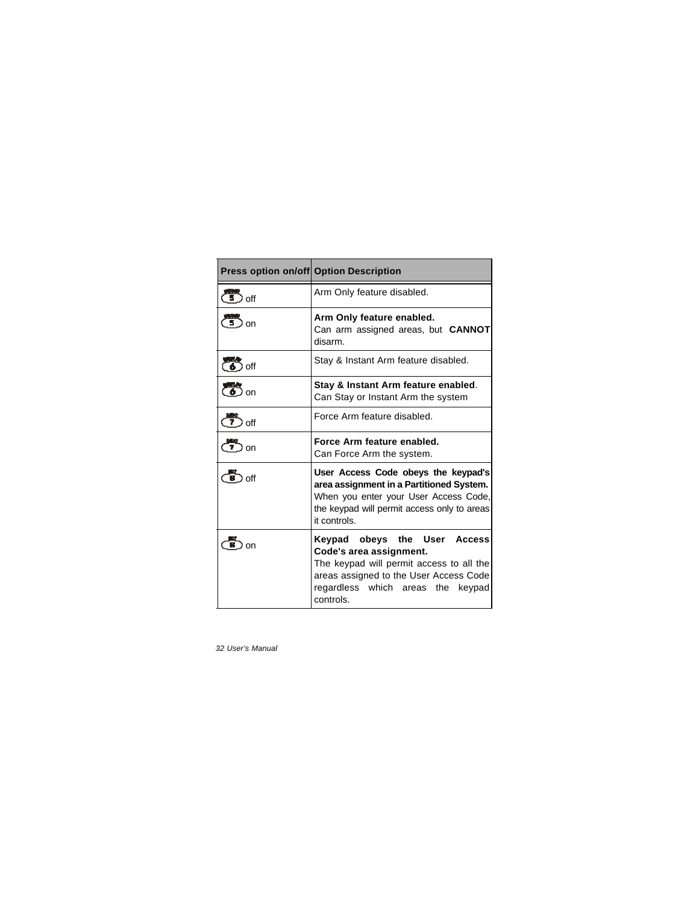|                   | Press option on/off Option Description                                                                                                                                                          |
|-------------------|-------------------------------------------------------------------------------------------------------------------------------------------------------------------------------------------------|
| لتنقط<br>l off    | Arm Only feature disabled.                                                                                                                                                                      |
| <sub>on</sub>     | Arm Only feature enabled.<br>Can arm assigned areas, but <b>CANNOT</b><br>disarm.                                                                                                               |
| ) off             | Stay & Instant Arm feature disabled.                                                                                                                                                            |
| $\binom{3}{6}$ on | Stay & Instant Arm feature enabled.<br>Can Stay or Instant Arm the system                                                                                                                       |
| off               | Force Arm feature disabled.                                                                                                                                                                     |
| <u>— ។</u><br>on  | Force Arm feature enabled.<br>Can Force Arm the system.                                                                                                                                         |
| off<br>в          | User Access Code obeys the keypad's<br>area assignment in a Partitioned System.<br>When you enter your User Access Code,<br>the keypad will permit access only to areas<br>it controls.         |
| nn                | Keypad obeys the User Access<br>Code's area assignment.<br>The keypad will permit access to all the<br>areas assigned to the User Access Code<br>regardless which areas the keypad<br>controls. |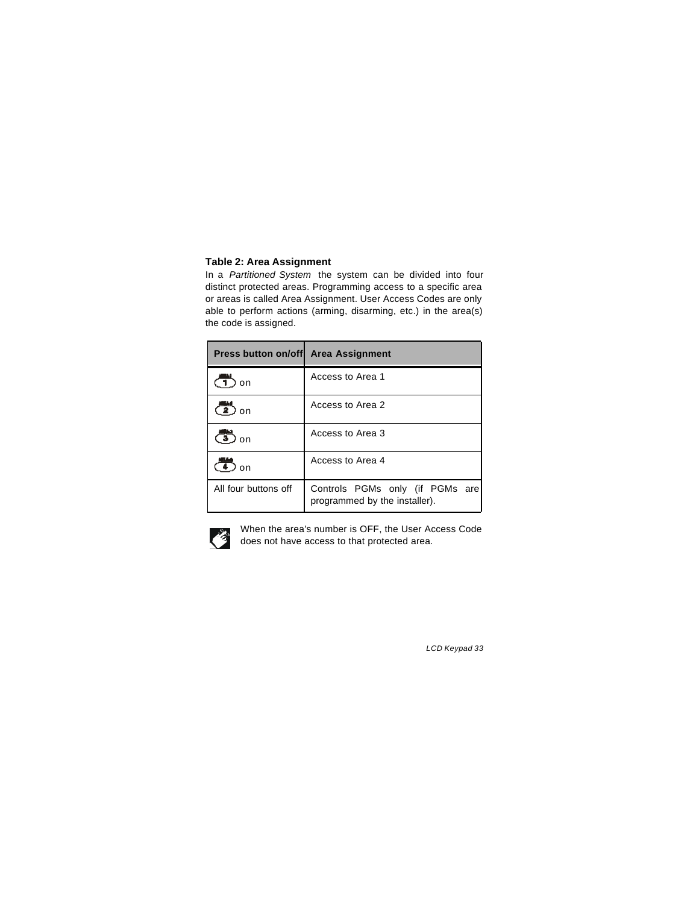### **Table 2: Area Assignment**

In a *Partitioned System* the system can be divided into four distinct protected areas. Programming access to a specific area or areas is called Area Assignment. User Access Codes are only able to perform actions (arming, disarming, etc.) in the area(s) the code is assigned.

| Press button on/off Area Assignment |                                                                  |
|-------------------------------------|------------------------------------------------------------------|
| ) on                                | Access to Area 1                                                 |
| يسم<br>) on                         | Access to Area 2                                                 |
| Ţ<br>on                             | Access to Area 3                                                 |
| $\Omega$                            | Access to Area 4                                                 |
| All four buttons off                | Controls PGMs only (if PGMs are<br>programmed by the installer). |



When the area's number is OFF, the User Access Code does not have access to that protected area.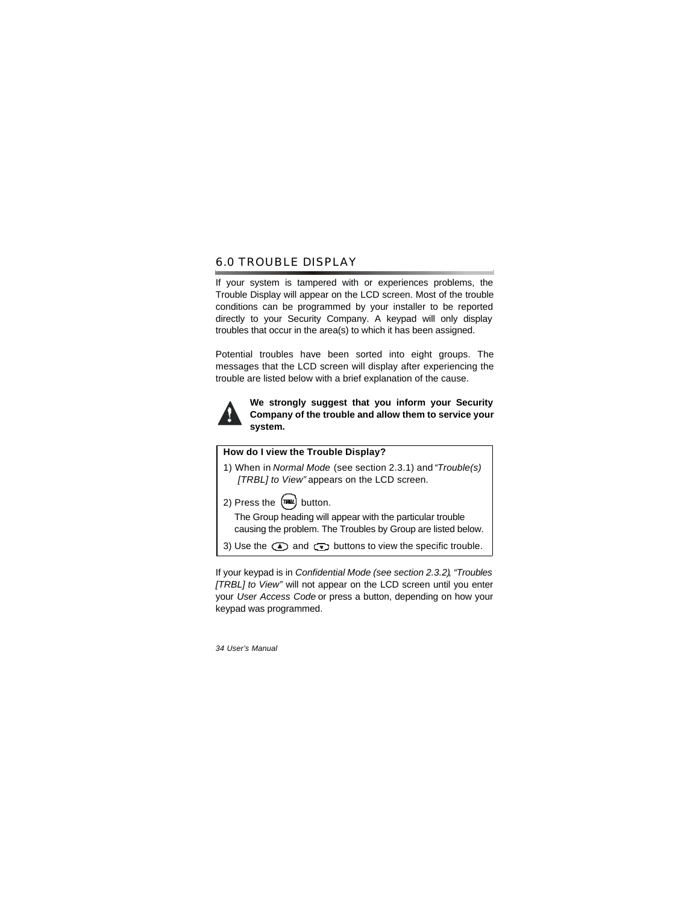### 6.0 TROUBLE DISPLAY

If your system is tampered with or experiences problems, the Trouble Display will appear on the LCD screen. Most of the trouble conditions can be programmed by your installer to be reported directly to your Security Company. A keypad will only display troubles that occur in the area(s) to which it has been assigned.

Potential troubles have been sorted into eight groups. The messages that the LCD screen will display after experiencing the trouble are listed below with a brief explanation of the cause.



**We strongly suggest that you inform your Security Company of the trouble and allow them to service your system.**

### **How do I view the Trouble Display?**

1) When in *Normal Mode* (see section 2.3.1) and *"Trouble(s) [TRBL] to View"* appears on the LCD screen.



The Group heading will appear with the particular trouble causing the problem. The Troubles by Group are listed below.

3) Use the  $\textcircled{\texttt{I}}$  and  $\textcircled{\texttt{I}}$  buttons to view the specific trouble.

If your keypad is in *Confidential Mode (see section 2.3.2)*, *"Troubles [TRBL] to View"* will not appear on the LCD screen until you enter your *User Access Code* or press a button, depending on how your keypad was programmed.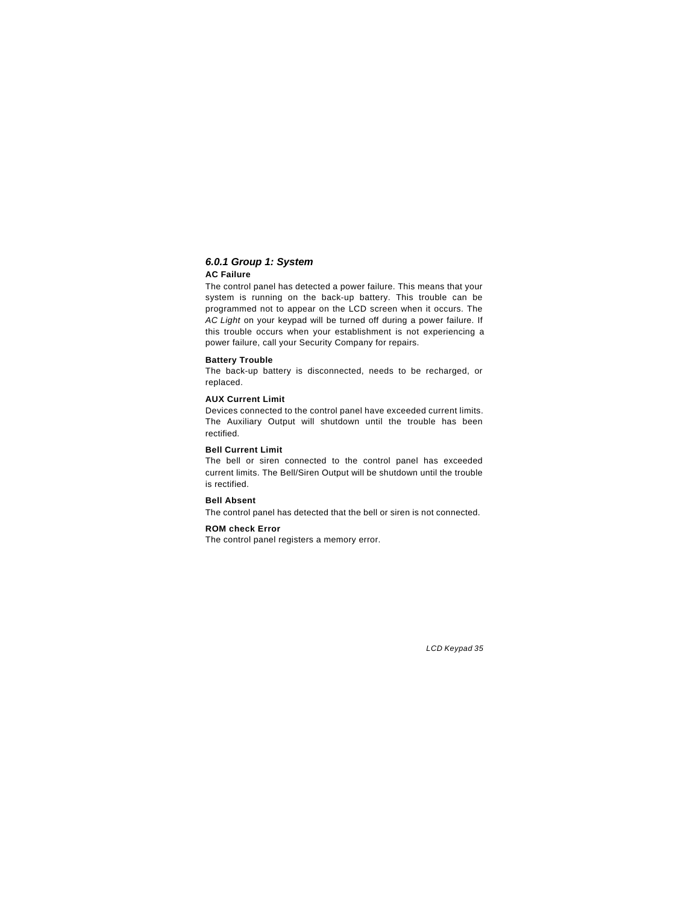#### *6.0.1 Group 1: System* **AC Failure**

The control panel has detected a power failure. This means that your system is running on the back-up battery. This trouble can be programmed not to appear on the LCD screen when it occurs. The *AC Light* on your keypad will be turned off during a power failure. If this trouble occurs when your establishment is not experiencing a power failure, call your Security Company for repairs.

#### **Battery Trouble**

The back-up battery is disconnected, needs to be recharged, or replaced.

#### **AUX Current Limit**

Devices connected to the control panel have exceeded current limits. The Auxiliary Output will shutdown until the trouble has been rectified.

#### **Bell Current Limit**

The bell or siren connected to the control panel has exceeded current limits. The Bell/Siren Output will be shutdown until the trouble is rectified.

#### **Bell Absent**

The control panel has detected that the bell or siren is not connected.

#### **ROM check Error**

The control panel registers a memory error.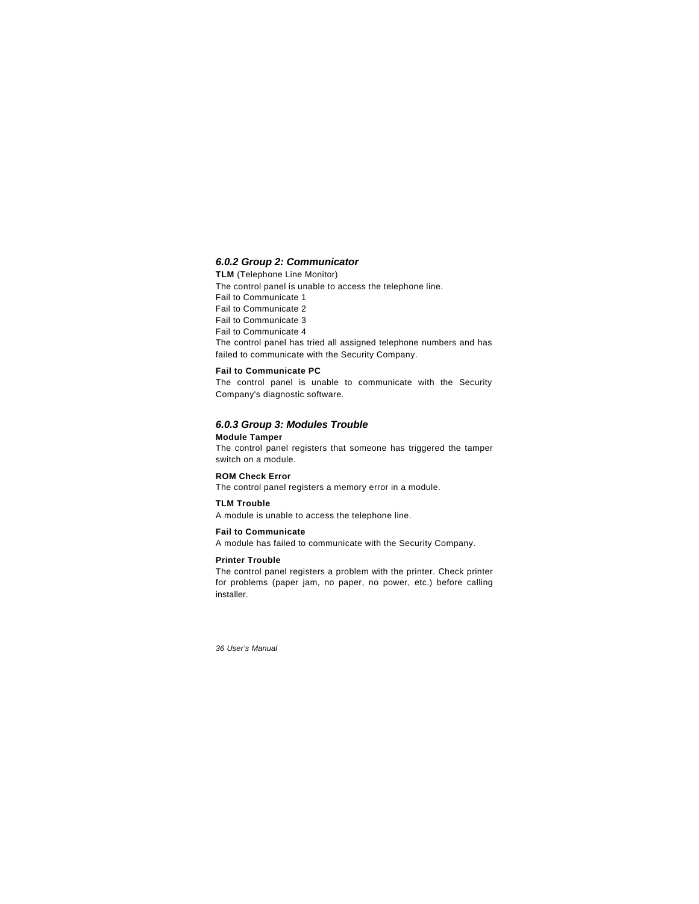#### *6.0.2 Group 2: Communicator*

**TLM** (Telephone Line Monitor) The control panel is unable to access the telephone line. Fail to Communicate 1 Fail to Communicate 2 Fail to Communicate 3 Fail to Communicate 4 The control panel has tried all assigned telephone numbers and has failed to communicate with the Security Company.

#### **Fail to Communicate PC**

The control panel is unable to communicate with the Security Company's diagnostic software.

#### *6.0.3 Group 3: Modules Trouble*

**Module Tamper** The control panel registers that someone has triggered the tamper switch on a module.

#### **ROM Check Error**

The control panel registers a memory error in a module.

#### **TLM Trouble**

A module is unable to access the telephone line.

### **Fail to Communicate**

A module has failed to communicate with the Security Company.

#### **Printer Trouble**

The control panel registers a problem with the printer. Check printer for problems (paper jam, no paper, no power, etc.) before calling installer.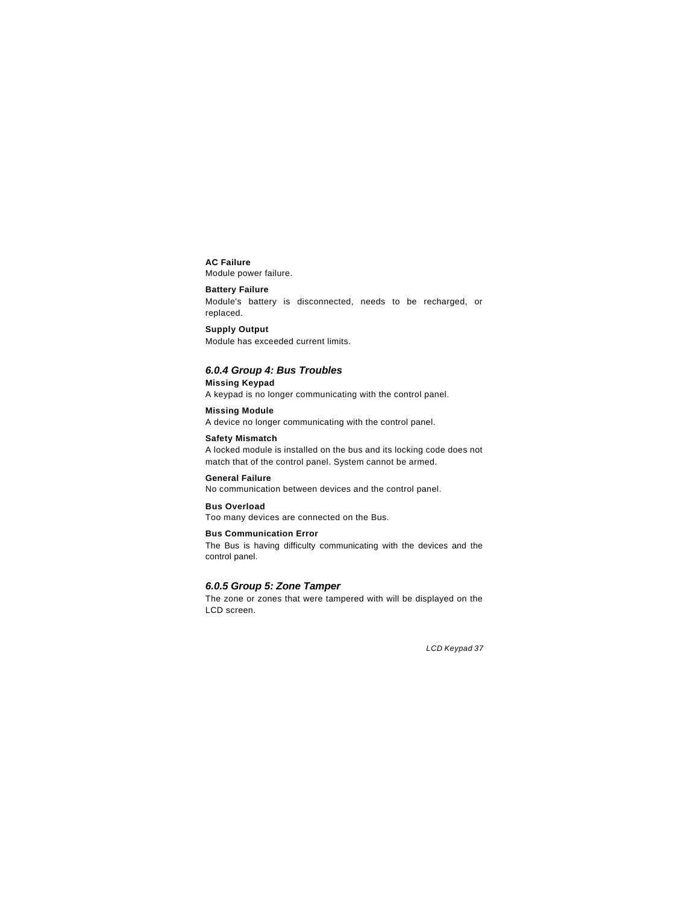### **AC Failure**

Module power failure.

### **Battery Failure**

Module's battery is disconnected, needs to be recharged, or replaced.

**Supply Output** Module has exceeded current limits.

### *6.0.4 Group 4: Bus Troubles*

**Missing Keypad** A keypad is no longer communicating with the control panel.

**Missing Module** A device no longer communicating with the control panel.

**Safety Mismatch** A locked module is installed on the bus and its locking code does not match that of the control panel. System cannot be armed.

**General Failure**  No communication between devices and the control panel.

**Bus Overload** Too many devices are connected on the Bus.

**Bus Communication Error** The Bus is having difficulty communicating with the devices and the control panel.

### *6.0.5 Group 5: Zone Tamper*

The zone or zones that were tampered with will be displayed on the LCD screen.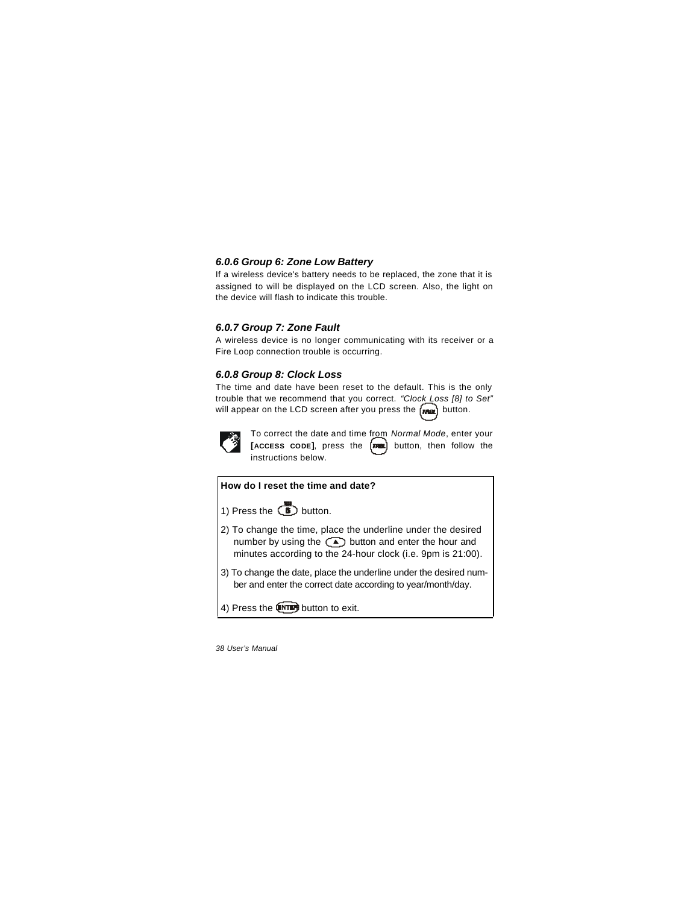#### *6.0.6 Group 6: Zone Low Battery*

If a wireless device's battery needs to be replaced, the zone that it is assigned to will be displayed on the LCD screen. Also, the light on the device will flash to indicate this trouble.

#### *6.0.7 Group 7: Zone Fault*

A wireless device is no longer communicating with its receiver or a Fire Loop connection trouble is occurring.

#### *6.0.8 Group 8: Clock Loss*

The time and date have been reset to the default. This is the only trouble that we recommend that you correct. *"Clock Loss [8] to Set"* will appear on the LCD screen after you press the  $\sqrt{m\omega}$  button.



To correct the date and time from *Normal Mode*, enter your **[ACCESS CODE]**, press the  $\begin{pmatrix} \overline{m} & \overline{m} \\ \overline{m} & \overline{m} \end{pmatrix}$  button, then follow the instructions below.

**How do I reset the time and date?**

1) Press the  $\overline{\mathbb{B}}$  button.

- 2) To change the time, place the underline under the desired number by using the  $\circled{1}$  button and enter the hour and minutes according to the 24-hour clock (i.e. 9pm is 21:00).
- 3) To change the date, place the underline under the desired number and enter the correct date according to year/month/day.
- 4) Press the **UNTED** button to exit.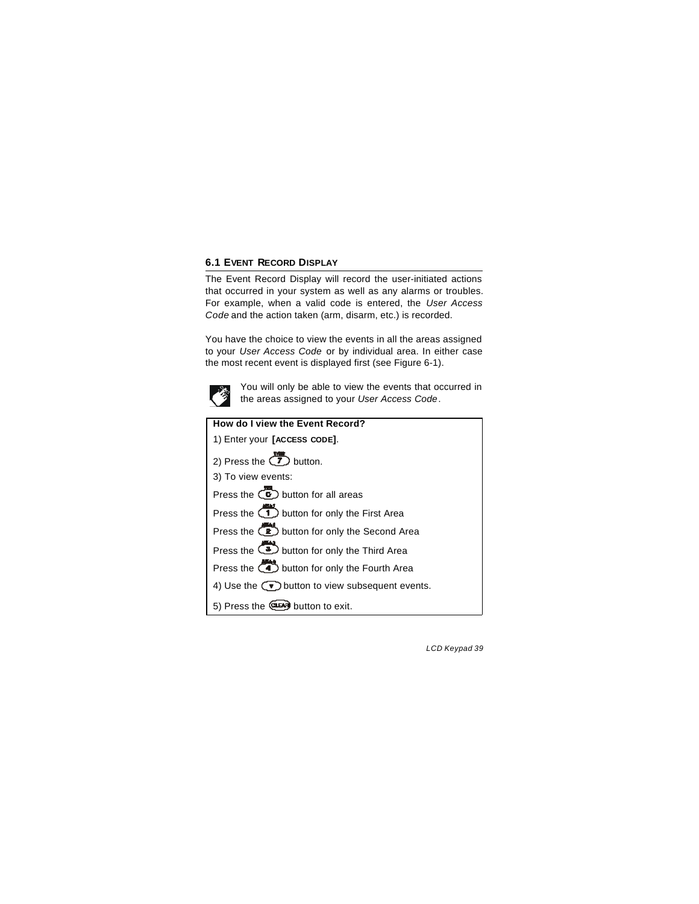### **6.1 EVENT RECORD DISPLAY**

The Event Record Display will record the user-initiated actions that occurred in your system as well as any alarms or troubles. For example, when a valid code is entered, the *User Access Code* and the action taken (arm, disarm, etc.) is recorded.

You have the choice to view the events in all the areas assigned to your *User Access Code* or by individual area. In either case the most recent event is displayed first (see Figure 6-1).



You will only be able to view the events that occurred in the areas assigned to your *User Access Code*.

| How do I view the Event Record?                                            |
|----------------------------------------------------------------------------|
| 1) Enter your [ACCESS CODE].                                               |
| 2) Press the $\sum$ button.                                                |
| 3) To view events:                                                         |
| Press the $\circled{c}$ button for all areas                               |
| Press the $\overline{1}$ button for only the First Area                    |
| Press the (2) button for only the Second Area                              |
| Press the <b>3</b> button for only the Third Area                          |
| Press the <b>CO</b> button for only the Fourth Area                        |
| 4) Use the $\left(\sqrt{\bullet}\right)$ button to view subsequent events. |
| 5) Press the <b>CLEAN</b> button to exit.                                  |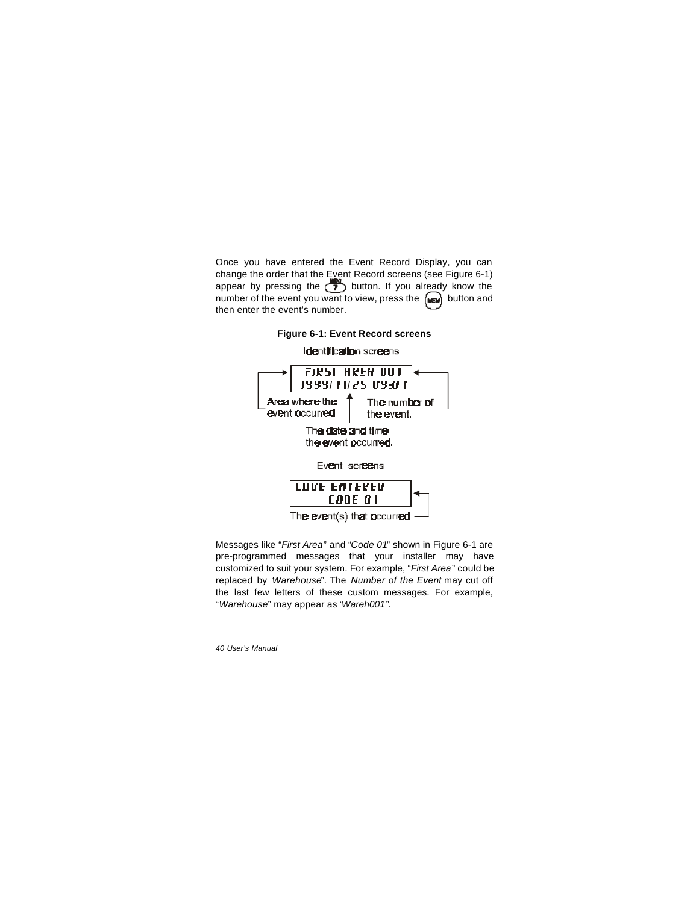Once you have entered the Event Record Display, you can change the order that the Event Record screens (see Figure 6-1) appear by pressing the  $\binom{3}{2}$  button. If you already know the number of the event you want to view, press the  $[m]$  button and then enter the event's number.



Messages like "*First Area*" and "*Code 01*" shown in Figure 6-1 are pre-programmed messages that your installer may have customized to suit your system. For example, "*First Area*" could be replaced by "*Warehouse*". The *Number of the Event* may cut off the last few letters of these custom messages. For example, "*Warehouse*" may appear as "*Wareh001*".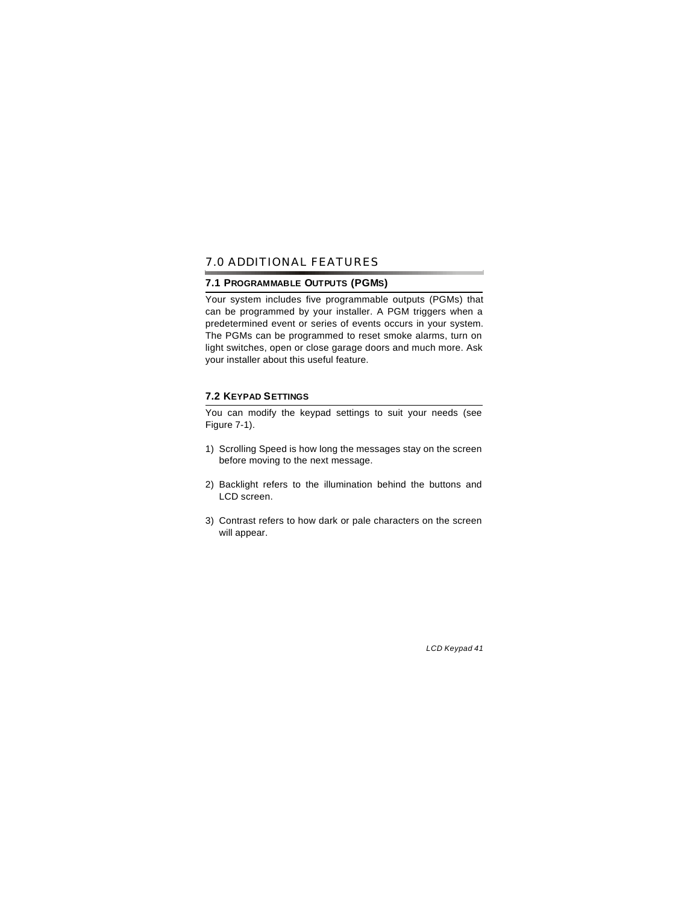### 7.0 ADDITIONAL FEATURES

### **7.1 PROGRAMMABLE OUTPUTS (PGMS)**

Your system includes five programmable outputs (PGMs) that can be programmed by your installer. A PGM triggers when a predetermined event or series of events occurs in your system. The PGMs can be programmed to reset smoke alarms, turn on light switches, open or close garage doors and much more. Ask your installer about this useful feature.

### **7.2 KEYPAD SETTINGS**

You can modify the keypad settings to suit your needs (see Figure 7-1).

- 1) Scrolling Speed is how long the messages stay on the screen before moving to the next message.
- 2) Backlight refers to the illumination behind the buttons and LCD screen.
- 3) Contrast refers to how dark or pale characters on the screen will appear.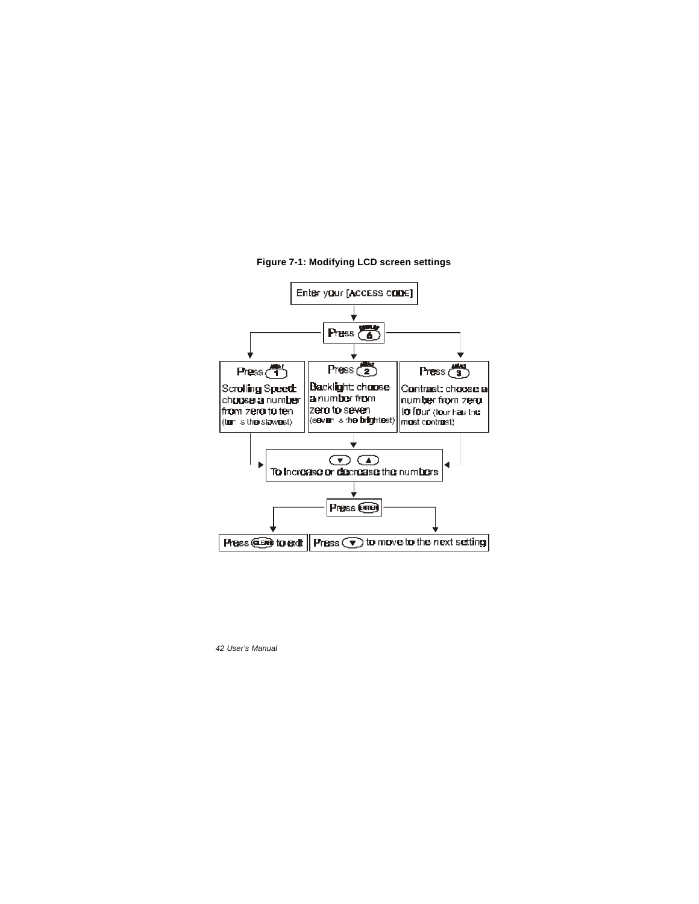

### **Figure 7-1: Modifying LCD screen settings**

*42 User's Manual*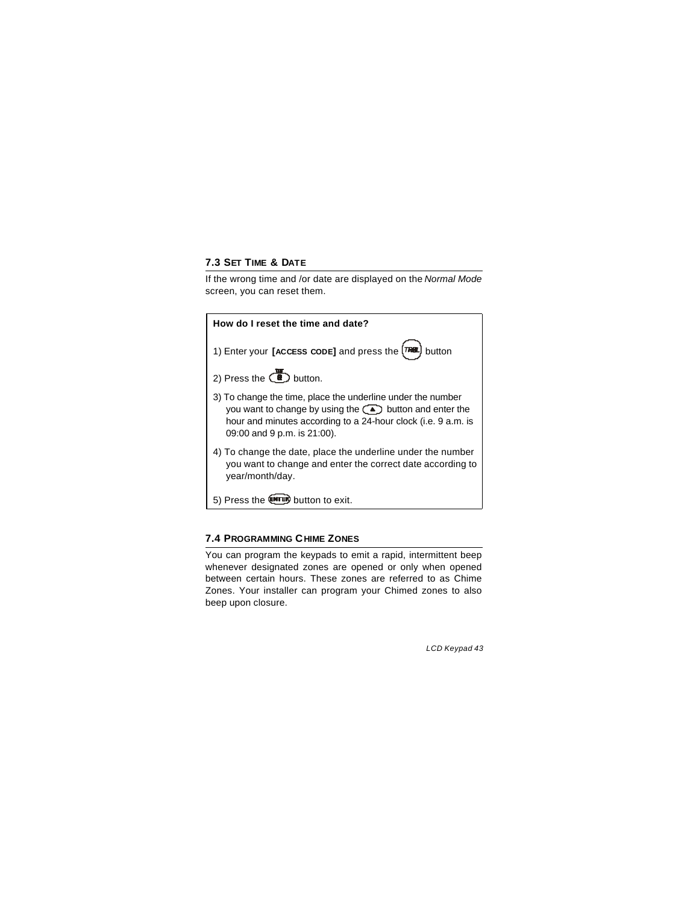### **7.3 SET TIME & DATE**

If the wrong time and /or date are displayed on the *Normal Mode* screen, you can reset them.



### **7.4 PROGRAMMING CHIME ZONES**

You can program the keypads to emit a rapid, intermittent beep whenever designated zones are opened or only when opened between certain hours. These zones are referred to as Chime Zones. Your installer can program your Chimed zones to also beep upon closure.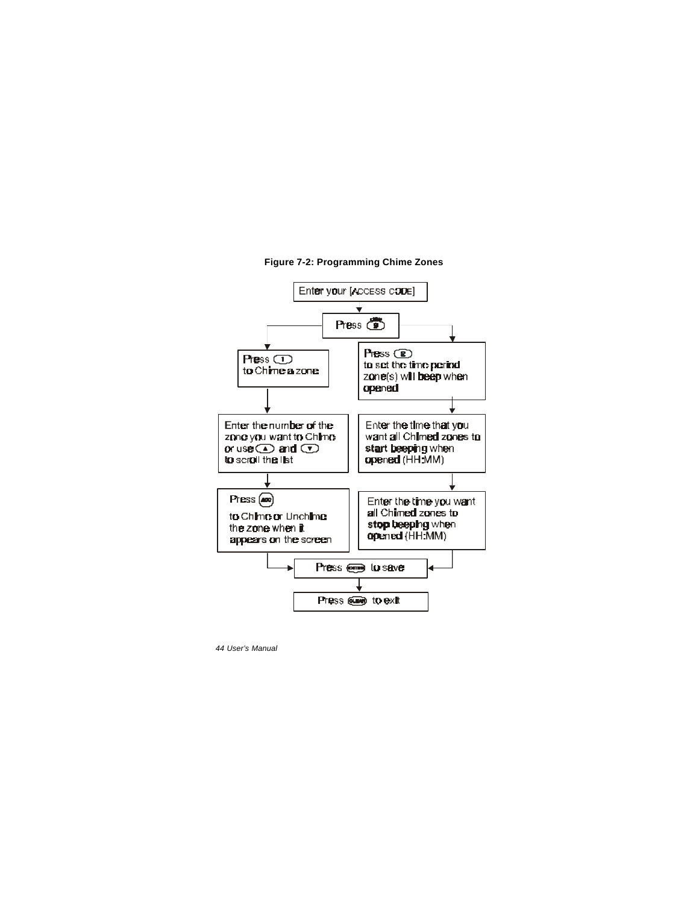

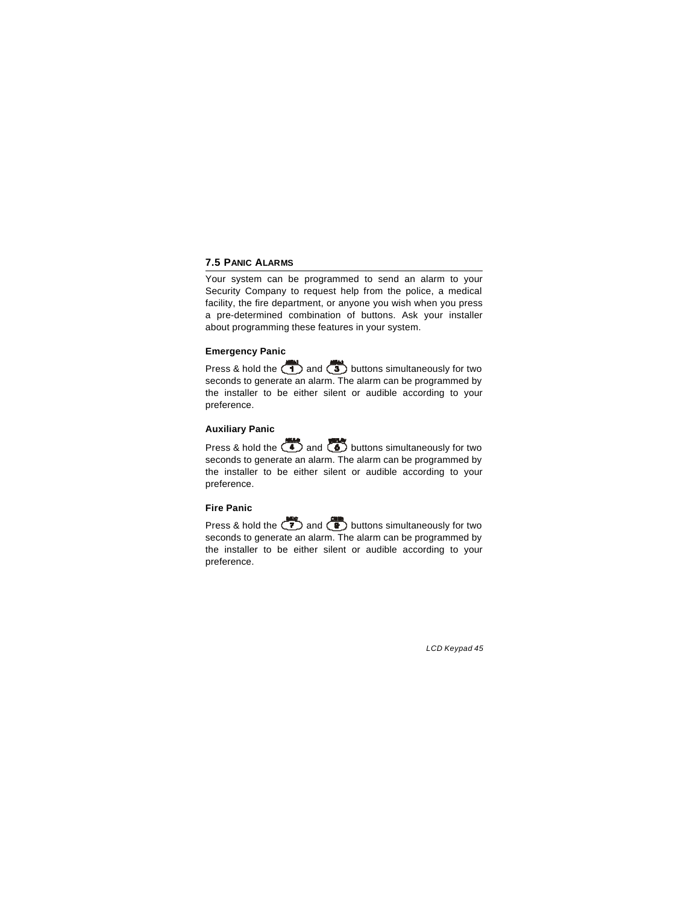### **7.5 PANIC ALARMS**

Your system can be programmed to send an alarm to your Security Company to request help from the police, a medical facility, the fire department, or anyone you wish when you press a pre-determined combination of buttons. Ask your installer about programming these features in your system.

### **Emergency Panic**

Press & hold the  $\overline{1}$  and  $\overline{3}$  buttons simultaneously for two seconds to generate an alarm. The alarm can be programmed by the installer to be either silent or audible according to your preference.

### **Auxiliary Panic**

Press & hold the  $\left(\begin{array}{c} \bullet \\ \bullet \end{array}\right)$  and  $\left(\begin{array}{c} \bullet \\ \bullet \end{array}\right)$  buttons simultaneously for two seconds to generate an alarm. The alarm can be programmed by the installer to be either silent or audible according to your preference.

### **Fire Panic**

Press & hold the  $\overline{2}$  and  $\overline{2}$  buttons simultaneously for two seconds to generate an alarm. The alarm can be programmed by the installer to be either silent or audible according to your preference.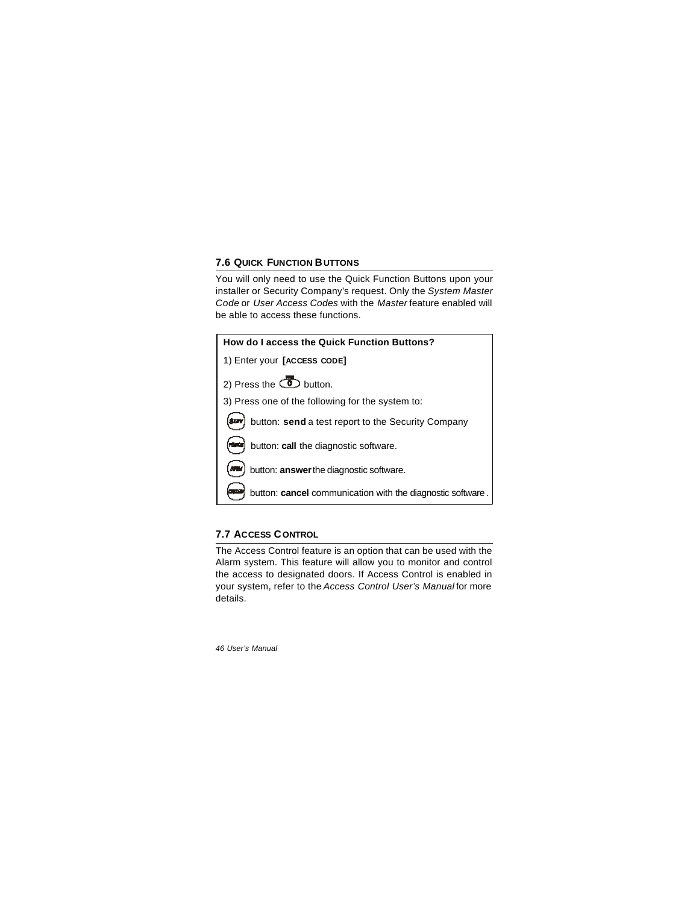### **7.6 QUICK FUNCTION BUTTONS**

You will only need to use the Quick Function Buttons upon your installer or Security Company's request. Only the *System Master Code* or *User Access Codes* with the *Master* feature enabled will be able to access these functions.

| How do I access the Quick Function Buttons?                       |
|-------------------------------------------------------------------|
| 1) Enter your [ACCESS CODE]                                       |
| 2) Press the $\circled{C}$ button.                                |
| 3) Press one of the following for the system to:                  |
| button: send a test report to the Security Company<br><b>SIZY</b> |
| button: call the diagnostic software.                             |
| button: answer the diagnostic software.                           |
| button: cancel communication with the diagnostic software.        |

### **7.7 ACCESS CONTROL**

The Access Control feature is an option that can be used with the Alarm system. This feature will allow you to monitor and control the access to designated doors. If Access Control is enabled in your system, refer to the *Access Control User's Manual* for more details.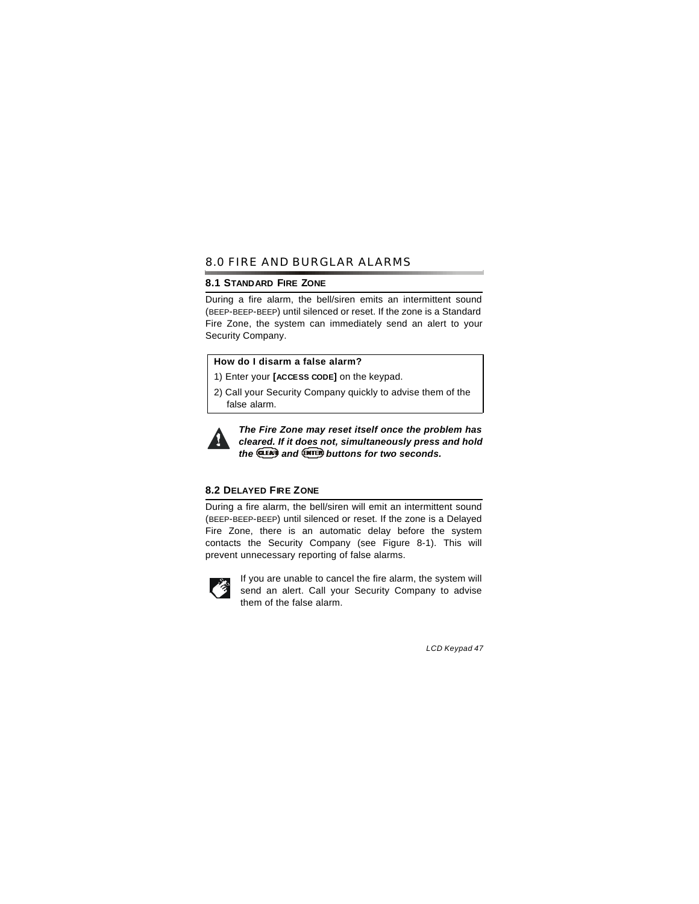### 8.0 FIRE AND BURGLAR ALARMS

#### **8.1 STANDARD FIRE ZONE**

During a fire alarm, the bell/siren emits an intermittent sound (BEEP-BEEP-BEEP) until silenced or reset. If the zone is a Standard Fire Zone, the system can immediately send an alert to your Security Company.

### **How do I disarm a false alarm?**

1) Enter your **[ACCESS CODE]** on the keypad.

2) Call your Security Company quickly to advise them of the false alarm.



*The Fire Zone may reset itself once the problem has cleared. If it does not, simultaneously press and hold the and buttons for two seconds.*

### **8.2 DELAYED FIRE ZONE**

During a fire alarm, the bell/siren will emit an intermittent sound (BEEP-BEEP-BEEP) until silenced or reset. If the zone is a Delayed Fire Zone, there is an automatic delay before the system contacts the Security Company (see Figure 8-1). This will prevent unnecessary reporting of false alarms.



If you are unable to cancel the fire alarm, the system will send an alert. Call your Security Company to advise them of the false alarm.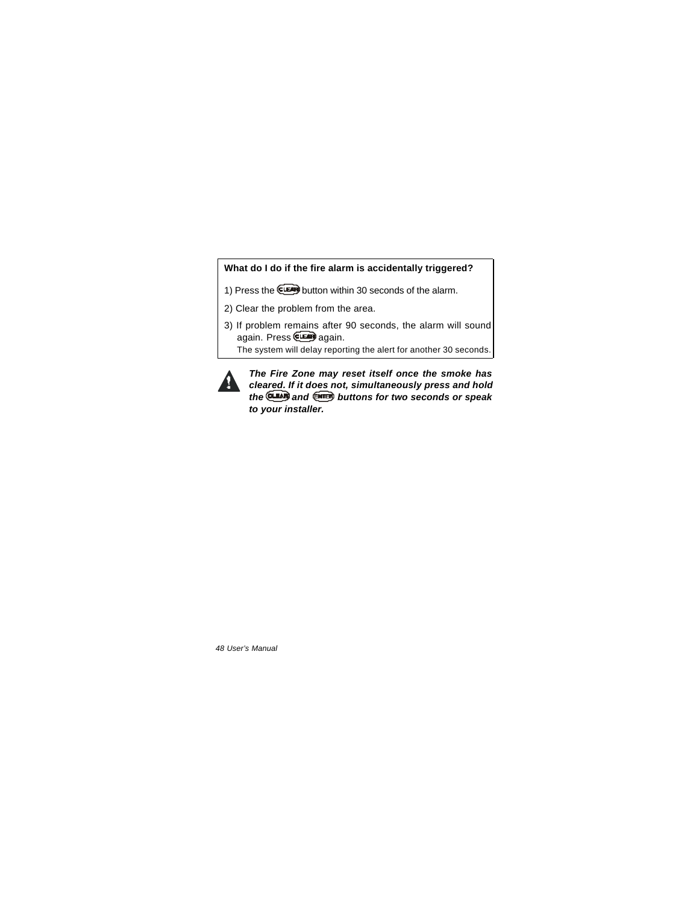### **What do I do if the fire alarm is accidentally triggered?**

- 1) Press the **CLEAN** button within 30 seconds of the alarm.
- 2) Clear the problem from the area.
- 3) If problem remains after 90 seconds, the alarm will sound again. Press **CLEAN** again.

The system will delay reporting the alert for another 30 seconds.



*The Fire Zone may reset itself once the smoke has cleared. If it does not, simultaneously press and hold the and buttons for two seconds or speak to your installer.*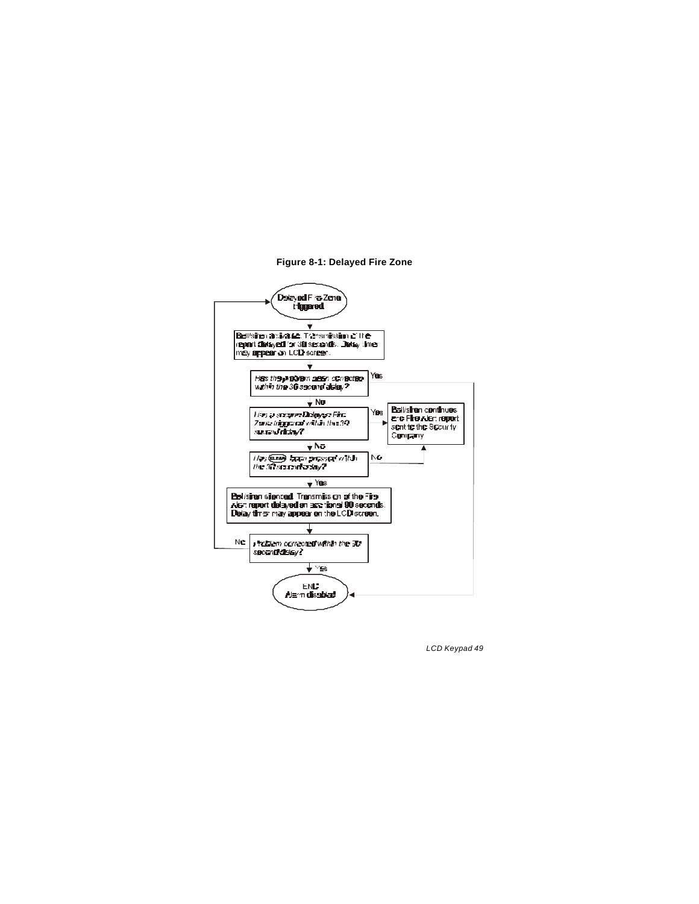#### **Figure 8-1: Delayed Fire Zone**

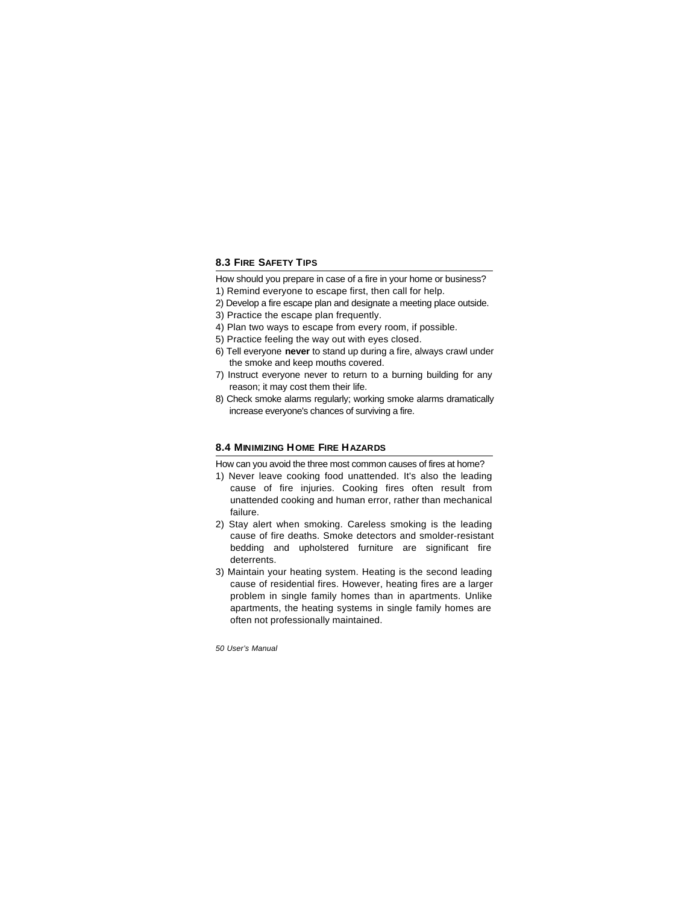### **8.3 FIRE SAFETY TIPS**

- How should you prepare in case of a fire in your home or business?
- 1) Remind everyone to escape first, then call for help.
- 2) Develop a fire escape plan and designate a meeting place outside.
- 3) Practice the escape plan frequently.
- 4) Plan two ways to escape from every room, if possible.
- 5) Practice feeling the way out with eyes closed.
- 6) Tell everyone **never** to stand up during a fire, always crawl under the smoke and keep mouths covered.
- 7) Instruct everyone never to return to a burning building for any reason; it may cost them their life.
- 8) Check smoke alarms regularly; working smoke alarms dramatically increase everyone's chances of surviving a fire.

### **8.4 MINIMIZING HOME FIRE HAZARDS**

How can you avoid the three most common causes of fires at home?

- 1) Never leave cooking food unattended. It's also the leading cause of fire injuries. Cooking fires often result from unattended cooking and human error, rather than mechanical failure.
- 2) Stay alert when smoking. Careless smoking is the leading cause of fire deaths. Smoke detectors and smolder-resistant bedding and upholstered furniture are significant fire deterrents.
- 3) Maintain your heating system. Heating is the second leading cause of residential fires. However, heating fires are a larger problem in single family homes than in apartments. Unlike apartments, the heating systems in single family homes are often not professionally maintained.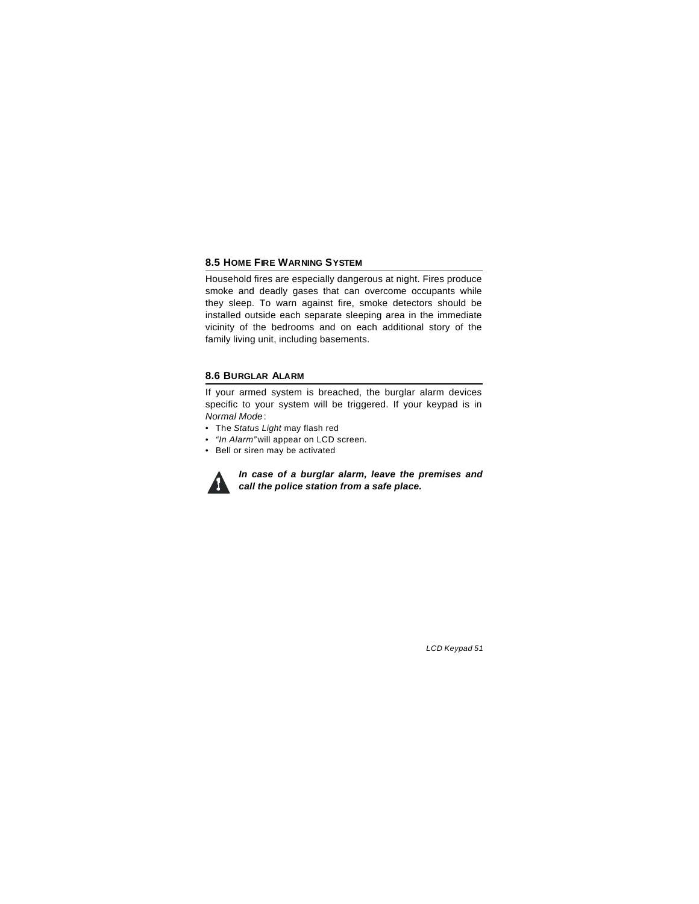### **8.5 HOME FIRE WARNING SYSTEM**

Household fires are especially dangerous at night. Fires produce smoke and deadly gases that can overcome occupants while they sleep. To warn against fire, smoke detectors should be installed outside each separate sleeping area in the immediate vicinity of the bedrooms and on each additional story of the family living unit, including basements.

### **8.6 BURGLAR ALARM**

If your armed system is breached, the burglar alarm devices specific to your system will be triggered. If your keypad is in *Normal Mode*:

- The *Status Light* may flash red
- • *"In Alarm"* will appear on LCD screen.
- Bell or siren may be activated



*In case of a burglar alarm, leave the premises and call the police station from a safe place.*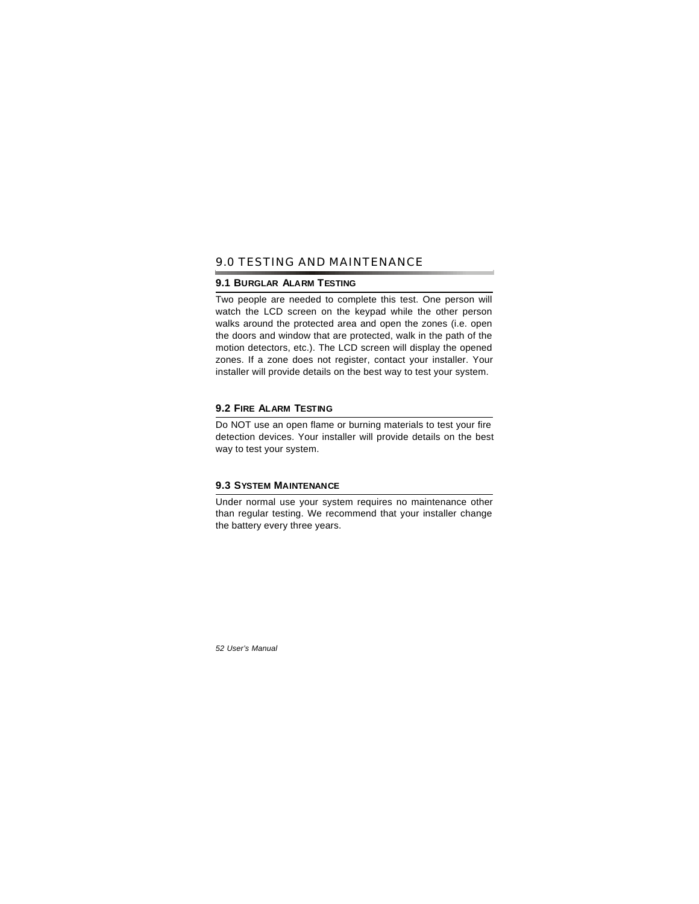### 9.0 TESTING AND MAINTENANCE

#### **9.1 BURGLAR ALARM TESTING**

Two people are needed to complete this test. One person will watch the LCD screen on the keypad while the other person walks around the protected area and open the zones (i.e. open the doors and window that are protected, walk in the path of the motion detectors, etc.). The LCD screen will display the opened zones. If a zone does not register, contact your installer. Your installer will provide details on the best way to test your system.

### **9.2 FIRE ALARM TESTING**

Do NOT use an open flame or burning materials to test your fire detection devices. Your installer will provide details on the best way to test your system.

### **9.3 SYSTEM MAINTENANCE**

Under normal use your system requires no maintenance other than regular testing. We recommend that your installer change the battery every three years.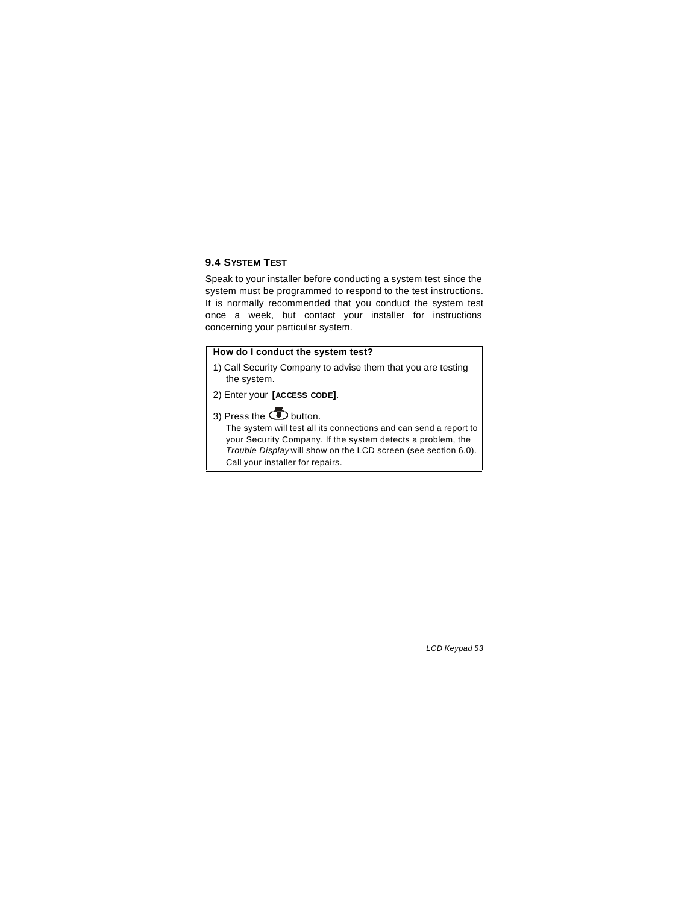### **9.4 SYSTEM TEST**

Speak to your installer before conducting a system test since the system must be programmed to respond to the test instructions. It is normally recommended that you conduct the system test once a week, but contact your installer for instructions concerning your particular system.

### **How do I conduct the system test?**

1) Call Security Company to advise them that you are testing the system.

- 2) Enter your **[ACCESS CODE]**.
- 3) Press the  $\bullet$  button.

The system will test all its connections and can send a report to your Security Company. If the system detects a problem, the *Trouble Display* will show on the LCD screen (see section 6.0). Call your installer for repairs.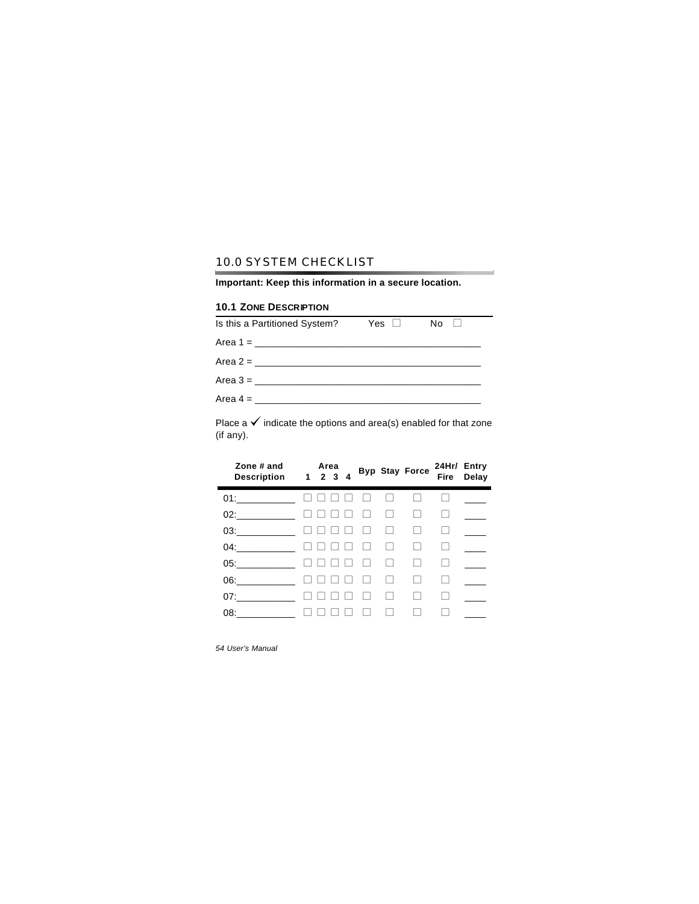# 10.0 SYSTEM CHECKLIST

**Important: Keep this information in a secure location.**

×.

### **10.1 ZONE DESCRIPTION**

| Is this a Partitioned System? | Yes □ | No II |
|-------------------------------|-------|-------|
|                               |       |       |
|                               |       |       |
|                               |       |       |
|                               |       |       |

Place a  $\checkmark$  indicate the options and area(s) enabled for that zone (if any).

| Zone # and<br>Description 1 2 3 4 |  | Area |              |        |                   | Byp Stay Force | 24Hr/ Entry | Fire Delay |
|-----------------------------------|--|------|--------------|--------|-------------------|----------------|-------------|------------|
| 01:                               |  |      |              |        |                   |                |             |            |
| 02:                               |  |      |              |        |                   |                |             |            |
| 03:                               |  |      |              |        | П                 |                |             |            |
| 04:                               |  |      |              |        | П                 |                |             |            |
| 05:                               |  |      | $\mathbf{L}$ | $\Box$ | $\mathbf{L}$      |                |             |            |
| 06:                               |  |      |              |        | $\vert \ \ \vert$ |                |             |            |
| 07:                               |  |      |              |        |                   |                |             |            |
| 08:                               |  |      |              |        |                   |                |             |            |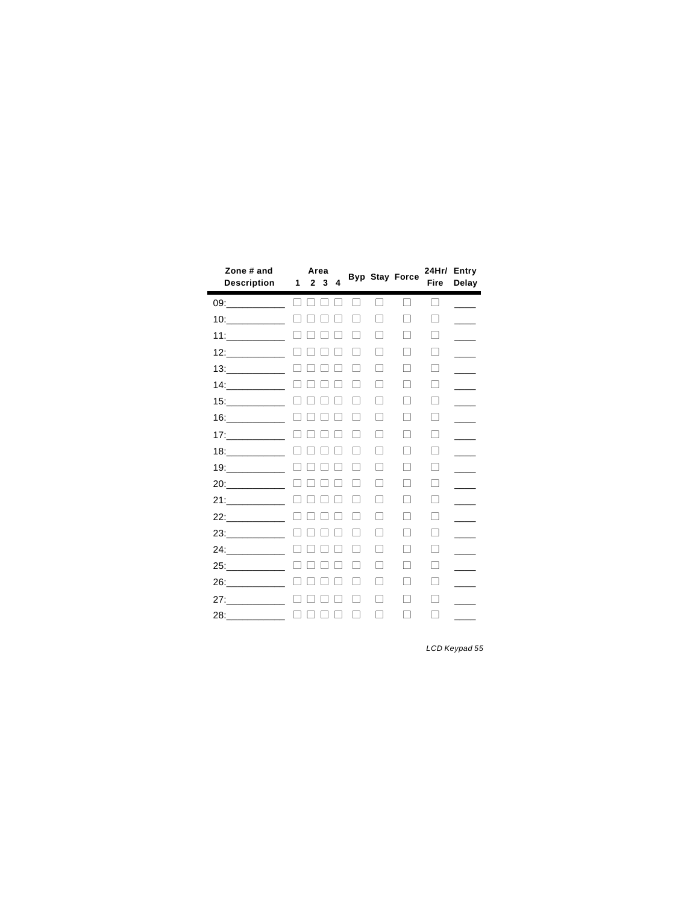| Zone # and<br><b>Description</b> | 1             | Area<br>2 <sub>3</sub> | 4 |   |   | <b>Byp Stay Force</b>    | <b>Fire</b> | 24Hr/ Entry<br>Delay |
|----------------------------------|---------------|------------------------|---|---|---|--------------------------|-------------|----------------------|
| 09:___________ □ □               |               |                        |   |   | П | $\Box$                   | П           |                      |
|                                  | $\Box$ $\Box$ |                        |   |   | П | П                        | П           |                      |
|                                  | П             |                        |   |   | П | П                        | П           |                      |
|                                  |               |                        |   |   | П | П                        | П           |                      |
|                                  | $\Box$        |                        |   |   | П | П                        | П           |                      |
| 14:                              | $\Box$        |                        |   |   | П | П                        | П           |                      |
| 15:                              |               |                        |   |   | П |                          | П           |                      |
|                                  |               |                        |   |   | П | □                        | П           |                      |
| 17:                              | $\Box$        |                        |   |   | П |                          | П           |                      |
|                                  | П             |                        |   |   | П | □                        | П           |                      |
|                                  | $\Box$        |                        |   |   | П | □                        | П           |                      |
|                                  | $\Box$        |                        |   |   | П | П                        | $\Box$      |                      |
| 21:                              | $\Box$        |                        |   |   | П | П                        | П           |                      |
| 22:                              |               |                        |   |   | П |                          | $\Box$      |                      |
| 23:                              |               |                        |   |   | П | □                        | П           |                      |
| 24:                              | $\Box$        |                        |   |   | П | H                        | П           |                      |
| 25:                              | П             |                        |   |   | П | $\overline{\phantom{0}}$ | П           |                      |
| 26:                              | $\Box$        |                        |   |   | П | П                        | П           |                      |
|                                  | $\Box$        |                        |   |   | П | П                        | П           |                      |
| 28:                              | $\Box$ $\Box$ |                        |   | Г | П | П                        | $\Box$      |                      |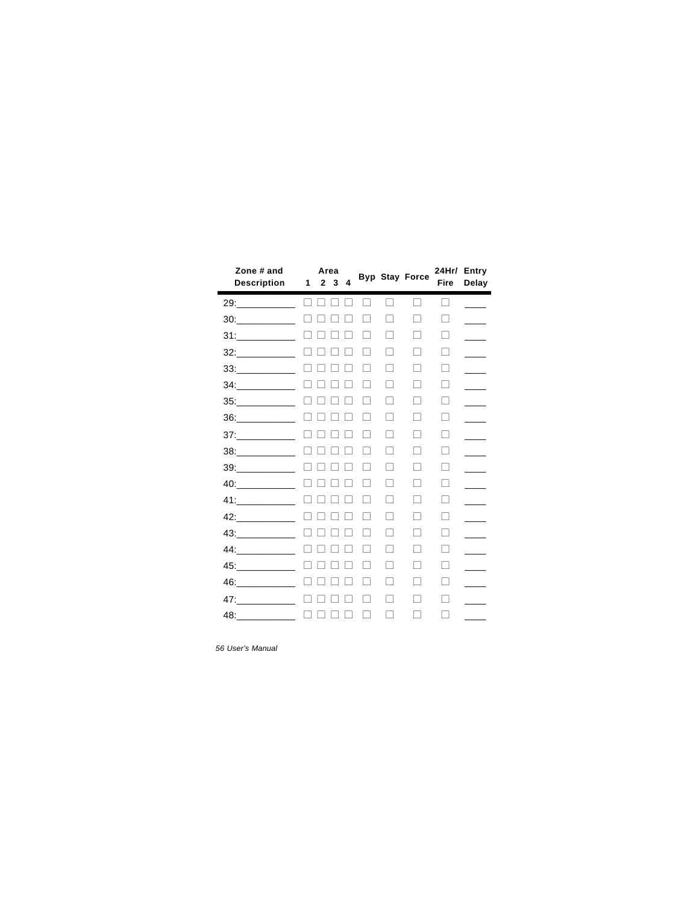| Zone # and<br><b>Description</b>             | 1      | $\mathbf{2}$ | Area<br>3 | 4             |                   |        | <b>Byp Stay Force</b> | <b>Fire</b> | 24Hr/ Entry<br>Delay |
|----------------------------------------------|--------|--------------|-----------|---------------|-------------------|--------|-----------------------|-------------|----------------------|
|                                              | П      |              |           |               |                   | $\Box$ | П                     | П           |                      |
| 30:                                          |        |              |           |               |                   | ۰      | П                     | П           |                      |
|                                              |        |              |           |               |                   |        | П                     | П           |                      |
| $32:$                                        |        |              |           |               | $\mathbf{I}$      | $\Box$ | П                     | П           |                      |
| $33:$                                        |        |              |           |               | $\mathbf{I}$      | П      | П                     | П           |                      |
| $34 \begin{tabular}{l} \hline \end{tabular}$ |        |              |           |               |                   |        | П                     | П           |                      |
|                                              |        |              |           |               |                   |        | n                     | П           |                      |
| $36:$                                        |        |              |           |               | $\vert \ \ \vert$ | П      | П                     | П           |                      |
| $37: \underline{\hspace{2cm}}$               |        |              |           |               |                   | ۰      | П                     | П           |                      |
| $38:$                                        |        |              |           |               |                   | п      | П                     | П           |                      |
| $39:$                                        |        |              |           |               |                   | ۰      | П                     | П           |                      |
|                                              |        |              |           |               | n                 | П      | $\Box$                | $\Box$      |                      |
|                                              |        |              |           |               |                   | П      | П                     | П           |                      |
| 42:                                          |        |              |           |               | H                 |        | П                     | П           |                      |
|                                              |        |              |           |               |                   | □      | П                     | П           |                      |
| 44:                                          |        |              |           |               |                   | П      | П                     | П           |                      |
|                                              |        |              |           |               |                   | ۰      | П                     | П           |                      |
|                                              |        |              |           |               |                   | ۰      | $\mathbf{I}$          | П           |                      |
| 47:                                          |        |              |           |               | $\mathbf{I}$      | П      | П                     | П           |                      |
|                                              | $\Box$ | П            |           | $\mathcal{L}$ | $\Box$            | П      | П                     | П           |                      |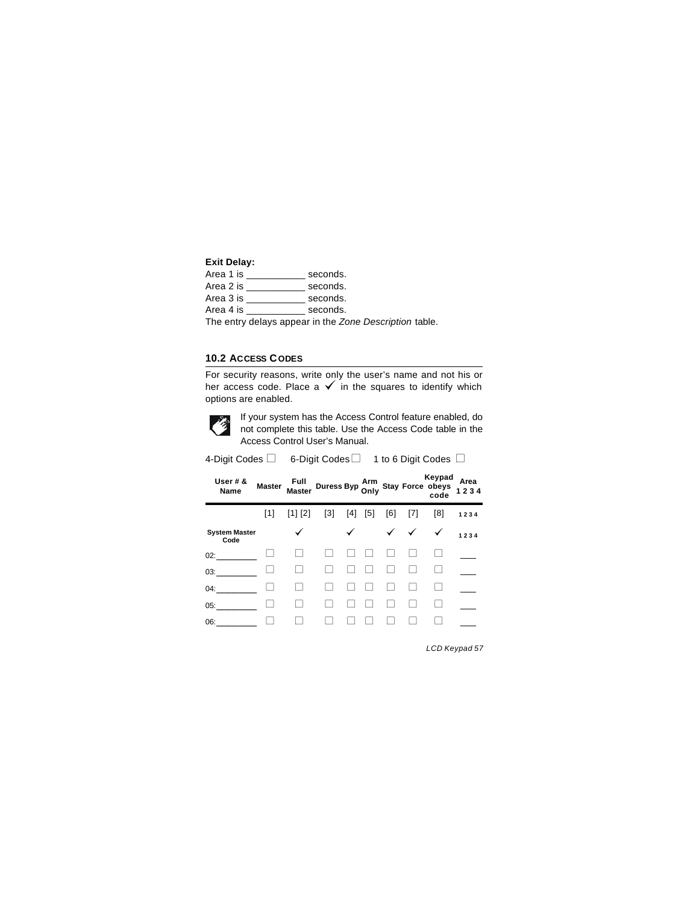#### **Exit Delay:**

| Area 1 is | seconds. |
|-----------|----------|
| Area 2 is | seconds. |
| Area 3 is | seconds. |
| Area 4 is | seconds. |
|           |          |

The entry delays appear in the *Zone Description* table.

### **10.2 ACCESS CODES**

For security reasons, write only the user's name and not his or her access code. Place a  $\checkmark$  in the squares to identify which options are enabled.



If your system has the Access Control feature enabled, do If your system has the Access Control feature enabled, do<br>not complete this table. Use the Access Code table in the Access Control User's Manual.

| 4-Digit Codes $□$            |     |                                                                              | 6-Digit Codes $\Box$ 1 to 6 Digit Codes $\Box$ |       |     |     |                                        |        |              |
|------------------------------|-----|------------------------------------------------------------------------------|------------------------------------------------|-------|-----|-----|----------------------------------------|--------|--------------|
| User $# 8$<br>Name           |     | Master Full Duress Byp Arm<br>Master Master Duress Byp Only Stay Force obeys |                                                |       |     |     |                                        | Keypad | Area<br>1234 |
|                              | [1] | $[1]$ $[2]$                                                                  | $\lceil 3 \rceil$                              | $[4]$ | [5] | [6] | [7]                                    | [8]    | 1234         |
| <b>System Master</b><br>Code |     | ✓                                                                            |                                                |       |     |     | $\checkmark$ $\checkmark$ $\checkmark$ |        | 1234         |
| 02:                          |     |                                                                              |                                                |       |     |     |                                        |        |              |
| 03:                          |     |                                                                              |                                                |       |     |     |                                        |        |              |
| 04:                          |     |                                                                              |                                                |       |     |     |                                        |        |              |
| 05:                          |     |                                                                              |                                                |       |     |     |                                        |        |              |
| 06:                          |     |                                                                              |                                                |       |     |     |                                        |        |              |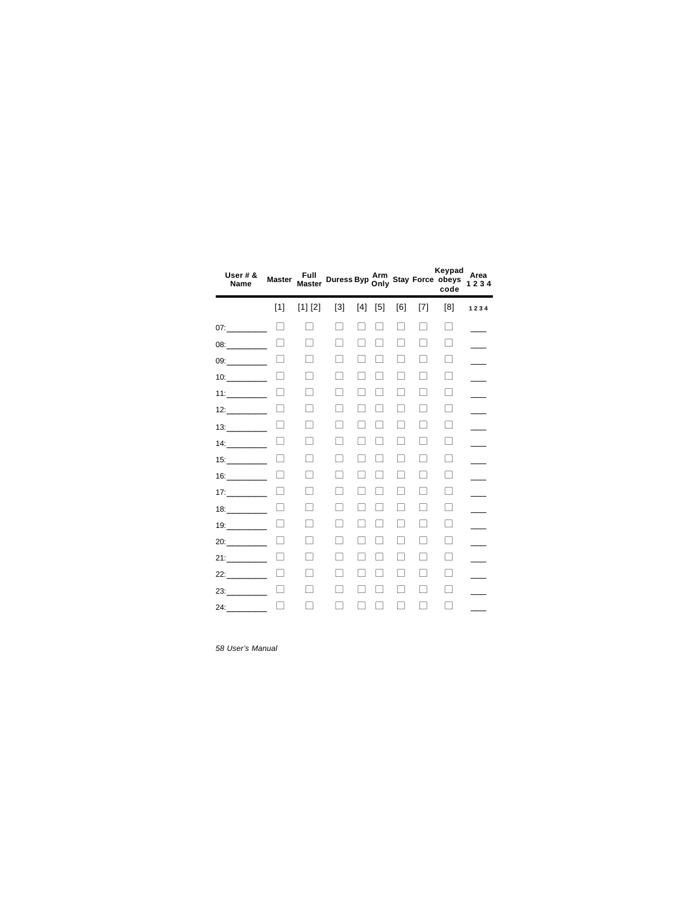| User $# 8$<br>Name | <b>Master</b> | Full<br><b>Master</b> |                   |     |       |                          |     | Keypad<br>Duress Byp Arm<br>Only Stay Force obeys<br>code | Area<br>1234 |
|--------------------|---------------|-----------------------|-------------------|-----|-------|--------------------------|-----|-----------------------------------------------------------|--------------|
|                    | $[1]$         | [1] [2]               | $\lceil 3 \rceil$ | [4] | $[5]$ | [6]                      | [7] | [8]                                                       | 1234         |
| 07:                |               | ΞI                    | П                 |     |       |                          |     | $\Box$                                                    |              |
| 08 <sup>2</sup>    |               |                       | $\mathcal{L}$     |     |       |                          | ×   | H                                                         |              |
| 09:                |               | Τ                     | Ξı                |     |       |                          | a l | П                                                         |              |
|                    | $\mathbf{L}$  | $\mathbf{I}$          | $\mathbf{I}$      |     |       |                          | L.  | H                                                         |              |
| $11:$ 2008 2014    |               |                       |                   |     |       |                          |     | ш                                                         |              |
| 12:                |               | H                     |                   |     |       |                          | L.  | $\mathbf{1}$                                              |              |
|                    |               | $\mathbf{I}$          | П                 |     |       | $\overline{\phantom{a}}$ | L.  | H                                                         |              |
| 14:                | $\Box$        | $\mathbf{I}$          | $\blacksquare$    |     |       |                          | L.  | $\Box$                                                    |              |
| 15:                |               |                       |                   |     |       |                          |     | H                                                         |              |
| 16:                |               |                       |                   |     |       |                          |     | П                                                         |              |
| 17:                |               | a l                   | ⊣                 |     |       |                          | L.  | П                                                         |              |
| 18:                | П             | ┐                     | ⊣                 |     |       |                          |     | П                                                         |              |
| 19:                |               | ×                     |                   |     |       |                          |     | H                                                         |              |
| 20:                |               |                       |                   |     |       |                          |     | L                                                         |              |
| 21:                |               |                       |                   |     |       |                          |     | H                                                         |              |
| 22:                | r.            |                       | $\mathcal{L}$     |     |       |                          | a s | п                                                         |              |
| 23:                | $\mathbf{I}$  |                       |                   |     |       |                          |     | n a                                                       |              |
|                    |               |                       |                   |     |       |                          |     |                                                           |              |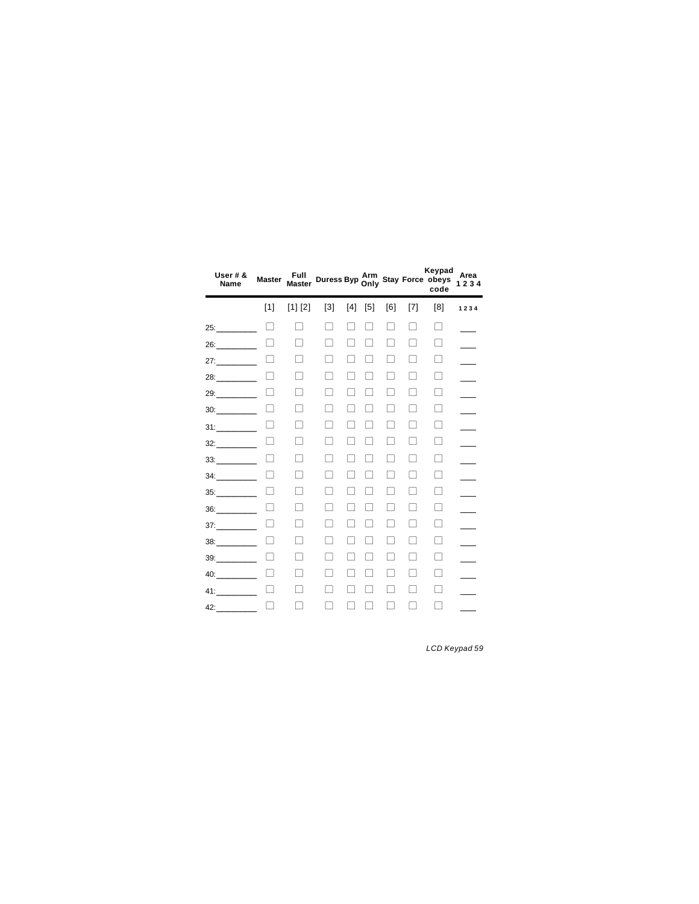| User $# 8$<br>Name | <b>Master</b> | Full<br><b>Master</b>    | Duress Byp Arm<br>Only Stay Force obeys<br>code |                          |               |     |                          | Keypad | Area<br>1234 |
|--------------------|---------------|--------------------------|-------------------------------------------------|--------------------------|---------------|-----|--------------------------|--------|--------------|
|                    | [1]           | [1] [2]                  | $\lceil 3 \rceil$                               | [4]                      | [5]           | [6] | [7]                      | [8]    | 1234         |
| 25:                |               | ۰                        | П                                               |                          |               | n   | ۰                        | П      |              |
| 26:                |               |                          | ┓                                               |                          |               | n   | П                        | П      |              |
| 27:                |               |                          | ⊣                                               |                          |               | H   | П                        | П      |              |
| 28:                | L             | ۰                        | ۰                                               |                          |               | a l | - 1                      | r.     |              |
| 29:                |               | $\mathcal{L}$            | - 1                                             |                          |               |     | - 1                      | П      |              |
| 30:                |               | ┐                        | ۰                                               |                          |               | L.  | ┐                        | гП     |              |
| 31:                |               | $\mathcal{L}$            | $\overline{\phantom{0}}$                        |                          |               | L.  | П                        | □      |              |
| 32:                | Г             | ۰                        | ۰                                               |                          |               | П   | ۰                        | Г      |              |
| 33:                | H             | $\overline{\phantom{0}}$ |                                                 |                          |               |     | $\overline{\phantom{0}}$ |        |              |
| 34:                |               |                          |                                                 |                          |               |     | Τ                        |        |              |
| 35:                |               | - 1                      | - 1                                             |                          |               | H   | П                        | ×      |              |
| 36:                |               | ۰                        | $\overline{\phantom{0}}$                        | $\overline{\phantom{0}}$ | $\mathcal{L}$ | H   | П                        | L      |              |
| 37:                | L             | ┐                        | $\overline{\phantom{0}}$                        |                          |               |     | $\overline{\phantom{a}}$ | П      |              |
| 38:                |               | ۰                        |                                                 |                          |               | ۰   | ۰                        | П      |              |
| 39:                |               |                          |                                                 |                          |               | ۰   | ۰                        | П      |              |
|                    |               |                          | ┓                                               |                          |               | n   | П                        | П      |              |
|                    | H             | ۰                        |                                                 |                          |               |     | ۰                        | п      |              |
| 42:                | П             |                          |                                                 |                          |               |     | ۰                        |        |              |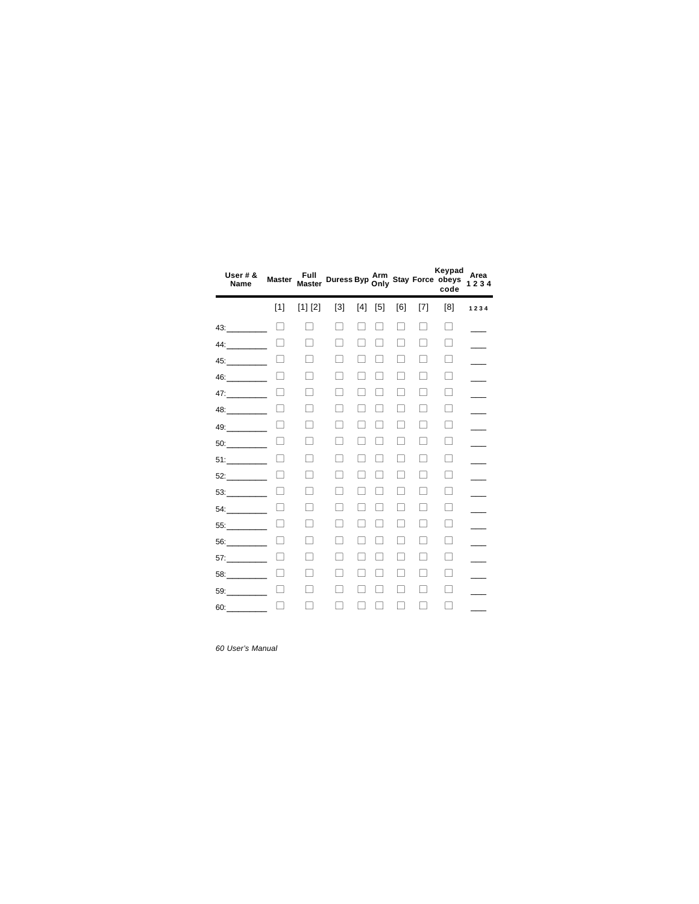| User $# 8$<br>Name | <b>Master</b> | Full<br><b>Master</b> |                   |     |       |     |                | Keypad<br>Duress Byp Arm<br>Only Stay Force obeys<br>code | Area<br>1234 |
|--------------------|---------------|-----------------------|-------------------|-----|-------|-----|----------------|-----------------------------------------------------------|--------------|
|                    | $[1]$         | [1] [2]               | $\lceil 3 \rceil$ | [4] | $[5]$ | [6] | [7]            | [8]                                                       | 1234         |
| 43:                |               | a s                   | ۰                 |     |       | n.  |                | H                                                         |              |
| 44:                |               |                       | $\mathcal{L}$     |     |       |     | n l            | П                                                         |              |
| 45:                |               |                       |                   |     |       |     |                | П                                                         |              |
| 46:                | $\mathbf{L}$  | H                     | $\mathbf{I}$      |     |       |     |                | H                                                         |              |
| 47:                |               |                       |                   |     |       |     |                | $\mathbf{1}$                                              |              |
| 48:                |               | H                     |                   |     |       |     |                | H                                                         |              |
| 49:                |               | $\mathbf{I}$          | $\blacksquare$    |     |       |     | $\blacksquare$ | П                                                         |              |
| 50:                | $\Box$        | $\mathbf{I}$          | $\blacksquare$    |     |       |     |                | $\Box$                                                    |              |
| 51:                |               |                       |                   |     |       |     |                | H                                                         |              |
| 52:                |               |                       |                   |     |       |     |                | П                                                         |              |
| 53:                |               |                       | ⊣                 |     |       |     | L.             | П                                                         |              |
| 54:                | П             | п                     | ⊣                 |     |       |     |                | П                                                         |              |
| 55:                |               |                       |                   |     |       |     |                | H                                                         |              |
| 56:                |               |                       |                   |     |       |     |                | $\mathbb{R}$                                              |              |
| 57:                |               |                       |                   |     |       |     |                | L.                                                        |              |
| 58:                | L             |                       |                   |     |       |     |                | L.                                                        |              |
| 59:                | $\mathbf{I}$  |                       |                   |     |       |     |                | a s                                                       |              |
| 60:                |               |                       |                   |     |       |     |                |                                                           |              |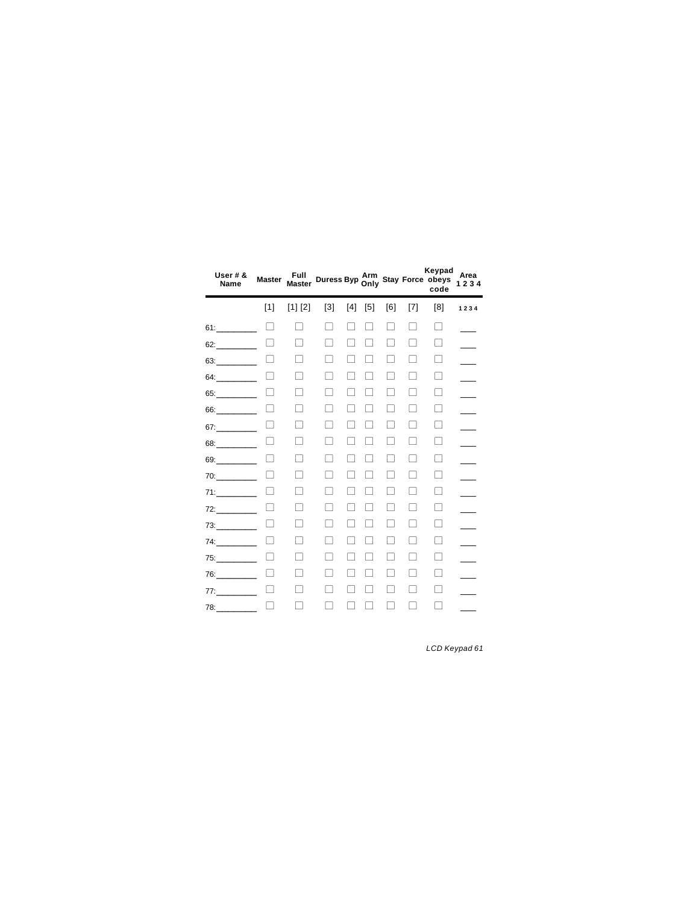| User $# 8$<br>Name | <b>Master</b> | Full<br><b>Master</b> | Duress Byp Arm<br>Only Stay Force obeys<br>code |                          |                          |                          |                | Keypad<br>code | Area<br>1234 |
|--------------------|---------------|-----------------------|-------------------------------------------------|--------------------------|--------------------------|--------------------------|----------------|----------------|--------------|
|                    | $[1]$         | [1] [2]               | $\lceil 3 \rceil$                               | [4]                      | $[5]$                    | [6]                      | [7]            | [8]            | 1234         |
| 61:                | H             | - 1                   | П                                               | n                        |                          | H                        | П              | П              |              |
| 62:                |               |                       | <b>Tall</b>                                     |                          |                          | n                        | П              | П              |              |
| 63:                |               | n a                   | П                                               |                          |                          | П                        | П              | П              |              |
| 64:                | Г             |                       |                                                 |                          |                          |                          | П              | П              |              |
| 65:                |               |                       |                                                 |                          |                          |                          | ۰              | ٠              |              |
| 66:                |               |                       |                                                 |                          |                          | Τ                        | П              |                |              |
| 67:                |               | ۰                     | ×                                               |                          |                          | П                        | П              | □              |              |
| 68:                | Г             | ۰                     |                                                 |                          |                          | П                        | П              | Г              |              |
| 69:                | $\mathbf{1}$  | ┐                     | - 1                                             |                          |                          | ×                        | П              | П              |              |
| 70:                |               | п                     | п                                               |                          |                          | ۰                        | П              | П              |              |
| 71:                |               | □                     | ┐                                               | $\mathcal{L}$            | $\mathcal{L}$            | □                        | П              | П              |              |
| 72:                |               | ┐                     | ┐                                               | $\overline{\phantom{a}}$ | $\overline{\phantom{a}}$ | П                        | П              | П              |              |
| 73:                | П             | П                     | $\overline{\phantom{0}}$                        | $\overline{\phantom{0}}$ |                          | $\overline{\phantom{a}}$ | П              | П              |              |
| 74:                |               | ۰                     | L.                                              |                          |                          | n.                       | $\Box$         | П              |              |
| 75:                |               | a l                   |                                                 |                          |                          | a s                      | $\Box$         | П              |              |
| 76:                |               | - 1                   | $\mathcal{L}$                                   | $\mathcal{L}$            |                          | n                        | П              | П              |              |
| 77:                | L             | $\mathcal{L}$         |                                                 |                          |                          | $\mathcal{L}$            | $\Box$         | L.             |              |
| 78:                | TI.           |                       |                                                 |                          |                          |                          | $\blacksquare$ | ×              |              |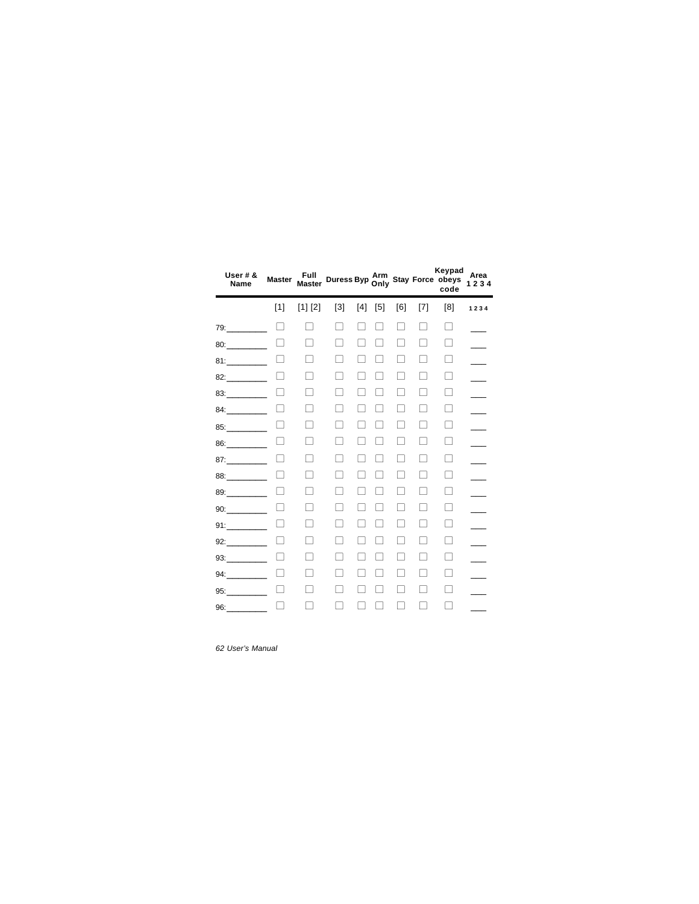| User # &<br>Name   | <b>Master</b> | Full<br><b>Master</b>    |                          |     |               |                |              | Keypad<br>Duress Byp Arm<br>Only Stay Force obeys<br>code | Area<br>1234 |
|--------------------|---------------|--------------------------|--------------------------|-----|---------------|----------------|--------------|-----------------------------------------------------------|--------------|
|                    | $[1]$         | [1] [2]                  | $\lceil 3 \rceil$        | [4] | $[5]$         | [6]            | [7]          | [8]                                                       | 1234         |
| 79:                |               | - 1                      | ۰                        |     | - 1           | ۰              |              | П                                                         |              |
|                    |               |                          | - 1                      |     |               | - 1            | ×            | H                                                         |              |
| 81:                |               | Τ                        | า                        |     |               |                |              | L                                                         |              |
| 82: 2012           |               | $\overline{\phantom{a}}$ | - 1                      |     |               |                |              | H                                                         |              |
| 83: 2001           |               | - 1                      | - 1                      |     |               |                |              | H                                                         |              |
| 84: $\blacksquare$ |               | $\overline{\phantom{a}}$ | $\mathcal{L}$            |     |               | $\mathcal{L}$  |              | $\mathbf{1}$                                              |              |
| 85:                |               | Ē.                       | $\blacksquare$           |     |               | $\blacksquare$ | $\mathbf{I}$ | $\Box$                                                    |              |
| 86:                | H             | П                        | $\overline{\phantom{0}}$ |     |               | $\mathbf{I}$   | L            | $\mathbf{1}$                                              |              |
| 87:                |               | п                        |                          |     |               |                |              | H                                                         |              |
| 88: 2001           |               | п                        |                          |     |               |                |              | П                                                         |              |
| 89:                |               | a l                      | ۰                        |     |               | ×              | L            | H                                                         |              |
| 90:                | L             | ┐                        |                          |     | $\mathcal{L}$ | ×              |              | п                                                         |              |
| 91:                |               | ×                        |                          |     |               |                |              | H                                                         |              |
| 92:                |               |                          |                          |     |               |                |              | r.                                                        |              |
| 93:                |               |                          |                          |     |               |                |              | L.                                                        |              |
| 94:                |               | - 1                      |                          |     |               | n l            |              | L.                                                        |              |
| 95:                |               |                          |                          |     |               |                |              | a s                                                       |              |
| 96: 2007           |               |                          |                          |     |               |                |              |                                                           |              |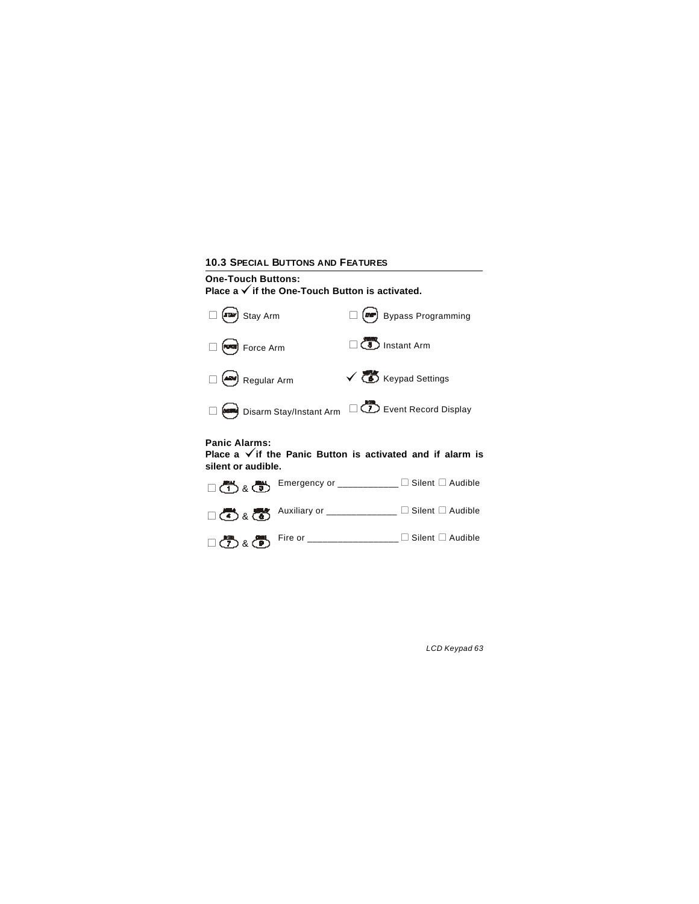# **10.3 SPECIAL BUTTONS AND FEATURES One-Touch Buttons:** Place a √ if the One-Touch Button is activated. **Panic Alarms:** Place a  $\checkmark$  if the Panic Button is activated and if alarm is **silent or audible.**   $\Box$  (**R**) Stay Arm  $\Box$  (**R**) Bypass Programming  $\Box$  **G** Force Arm  $\Box$  **Instant Arm**  $\Box$  **And** Regular Arm  $\checkmark$  **Co** Keypad Settings  $\Box$  Disarm Stay/Instant Arm  $\Box$  Event Record Display  $\Box$   $\overline{(\bullet)}$  &  $\overline{(\bullet)}$  Emergency or \_\_\_\_\_\_\_\_\_\_\_\_\_  $\Box$  Silent  $\Box$  Audible  $\Box$   $\bigoplus$  &  $\bigoplus$  Auxiliary or \_\_\_\_\_\_\_\_\_\_\_\_\_\_  $\Box$  Silent  $\Box$  Audible <sup>l</sup>& Fire or \_\_\_\_\_\_\_\_\_\_\_\_\_\_\_\_\_\_ <sup>l</sup>Silent <sup>l</sup>Audible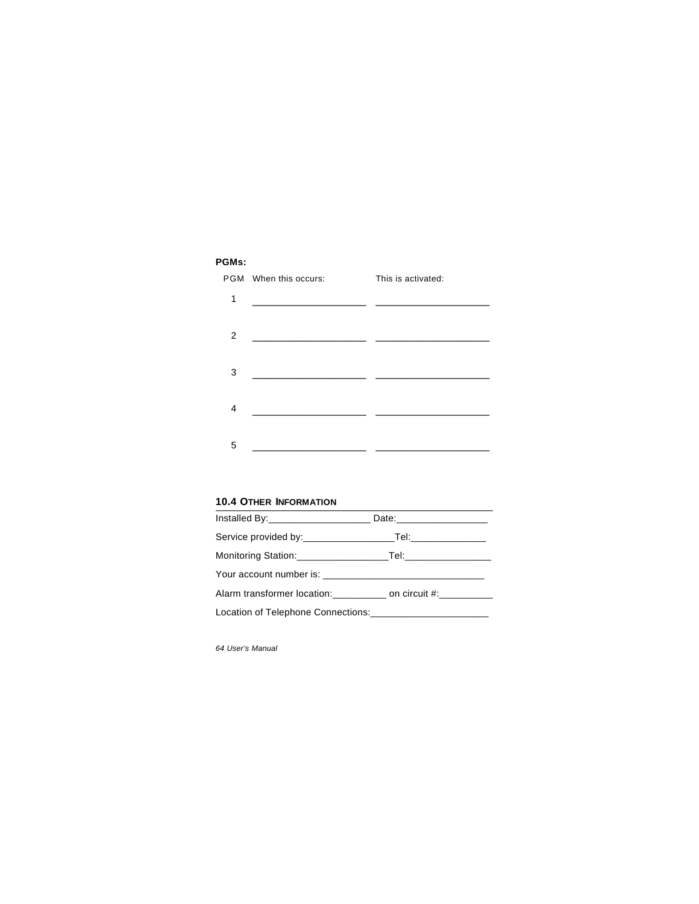## **PGMs:**

|   | PGM When this occurs:                                                                                                | This is activated: |
|---|----------------------------------------------------------------------------------------------------------------------|--------------------|
| 1 | <u> 1980 - Johann John Stone, mars and de la partie de la partie de la partie de la partie de la partie de la pa</u> |                    |
|   |                                                                                                                      |                    |
| 2 |                                                                                                                      |                    |
|   |                                                                                                                      |                    |
| 3 | the control of the control of the control of the control of                                                          |                    |
|   |                                                                                                                      |                    |
| 4 |                                                                                                                      |                    |
|   |                                                                                                                      |                    |
| 5 |                                                                                                                      |                    |

### **10.4 OTHER INFORMATION**

| Service provided by: Tel: Tel:                                 |  |
|----------------------------------------------------------------|--|
|                                                                |  |
|                                                                |  |
| Alarm transformer location:__________ on circuit #:__________  |  |
| Location of Telephone Connections:____________________________ |  |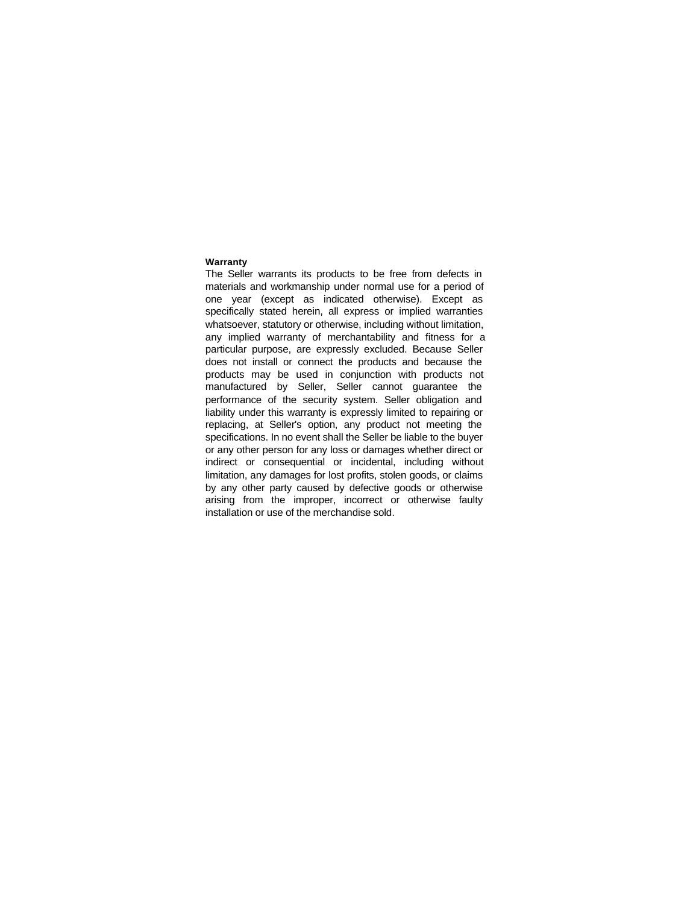#### **Warranty**

The Seller warrants its products to be free from defects in materials and workmanship under normal use for a period of one year (except as indicated otherwise). Except as specifically stated herein, all express or implied warranties whatsoever, statutory or otherwise, including without limitation, any implied warranty of merchantability and fitness for a particular purpose, are expressly excluded. Because Seller does not install or connect the products and because the products may be used in conjunction with products not manufactured by Seller, Seller cannot guarantee the performance of the security system. Seller obligation and liability under this warranty is expressly limited to repairing or replacing, at Seller's option, any product not meeting the specifications. In no event shall the Seller be liable to the buyer or any other person for any loss or damages whether direct or indirect or consequential or incidental, including without limitation, any damages for lost profits, stolen goods, or claims by any other party caused by defective goods or otherwise arising from the improper, incorrect or otherwise faulty installation or use of the merchandise sold.